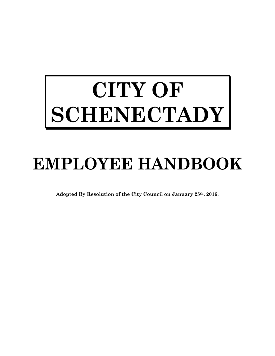# **CITY OF SCHENECTADY**

# **EMPLOYEE HANDBOOK**

**Adopted By Resolution of the City Council on January 25th, 2016.**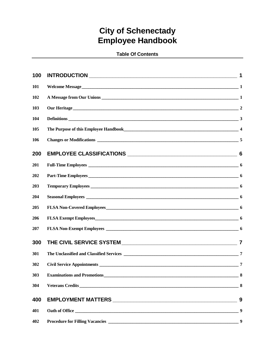# **City of Schenectady Employee Handbook**

#### **Table Of Contents**

| 100 |                        |     |
|-----|------------------------|-----|
| 101 |                        |     |
| 102 |                        |     |
| 103 | <b>Our Heritage</b> 22 |     |
| 104 |                        |     |
| 105 |                        |     |
| 106 |                        |     |
| 200 |                        | 6   |
| 201 |                        |     |
| 202 |                        |     |
| 203 |                        |     |
| 204 |                        |     |
| 205 |                        |     |
| 206 |                        |     |
| 207 |                        |     |
| 300 |                        | 7   |
| 301 |                        |     |
| 302 |                        |     |
| 303 |                        | - 8 |
| 304 |                        |     |
| 400 |                        | 9   |
| 401 |                        | 9   |
| 402 |                        | 9   |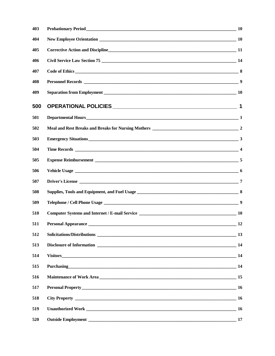| 403 |                                                                                                                 |           |
|-----|-----------------------------------------------------------------------------------------------------------------|-----------|
| 404 |                                                                                                                 |           |
| 405 | Corrective Action and Discipline 11 and 200 million 200 million 200 million 200 million 200 million 200 million |           |
| 406 |                                                                                                                 |           |
| 407 |                                                                                                                 |           |
| 408 |                                                                                                                 | 9         |
| 409 |                                                                                                                 |           |
| 500 |                                                                                                                 |           |
| 501 |                                                                                                                 |           |
| 502 |                                                                                                                 |           |
| 503 | Emergency Situations 33                                                                                         |           |
| 504 |                                                                                                                 |           |
| 505 |                                                                                                                 |           |
| 506 |                                                                                                                 |           |
| 507 |                                                                                                                 |           |
| 508 |                                                                                                                 |           |
| 509 |                                                                                                                 |           |
| 510 |                                                                                                                 |           |
| 511 |                                                                                                                 |           |
| 512 |                                                                                                                 |           |
| 513 |                                                                                                                 |           |
| 514 |                                                                                                                 |           |
| 515 | Purchasing 14                                                                                                   |           |
| 516 |                                                                                                                 |           |
| 517 |                                                                                                                 |           |
| 518 |                                                                                                                 |           |
| 519 |                                                                                                                 | <b>16</b> |
| 520 |                                                                                                                 |           |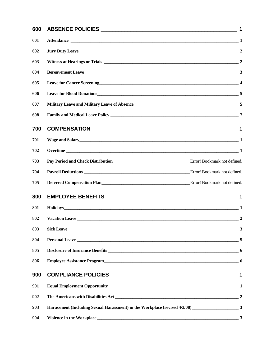| 600 |                                                                                                                                             | $\mathbf 1$  |
|-----|---------------------------------------------------------------------------------------------------------------------------------------------|--------------|
| 601 |                                                                                                                                             |              |
| 602 |                                                                                                                                             |              |
| 603 |                                                                                                                                             |              |
| 604 |                                                                                                                                             |              |
| 605 | Leave for Cancer Screening 4                                                                                                                |              |
| 606 | Leave for Blood Donations 5                                                                                                                 |              |
| 607 |                                                                                                                                             |              |
| 608 |                                                                                                                                             |              |
| 700 |                                                                                                                                             |              |
| 701 |                                                                                                                                             |              |
| 702 |                                                                                                                                             |              |
| 703 | Pay Period and Check Distribution<br><u>Error!</u> Bookmark not defined.                                                                    |              |
| 704 |                                                                                                                                             |              |
| 705 | Deferred Compensation Plan Error! Bookmark not defined.                                                                                     |              |
| 800 |                                                                                                                                             |              |
| 801 | $Holidays$ 1                                                                                                                                |              |
| 802 |                                                                                                                                             |              |
| 803 | <b>Sick Leave</b><br><u> 1989 - Johann Stoff, deutscher Stoffen und der Stoffen und der Stoffen und der Stoffen und der Stoffen und der</u> | $\mathbf{3}$ |
| 804 |                                                                                                                                             |              |
| 805 |                                                                                                                                             |              |
| 806 | Employee Assistance Program<br><u>6</u>                                                                                                     |              |
| 900 |                                                                                                                                             |              |
| 901 |                                                                                                                                             |              |
| 902 |                                                                                                                                             |              |
| 903 |                                                                                                                                             |              |
| 904 |                                                                                                                                             |              |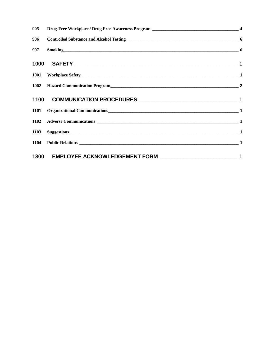| 905 |                                                       |  |
|-----|-------------------------------------------------------|--|
| 906 | Controlled Substance and Alcohol Testing<br><u>06</u> |  |
|     | 907 Smoking 6                                         |  |
|     |                                                       |  |
|     |                                                       |  |
|     | 1002 Hazard Communication Program 1002 12             |  |
|     |                                                       |  |
|     | 1101 Organizational Communications 1                  |  |
|     |                                                       |  |
|     |                                                       |  |
|     |                                                       |  |
|     |                                                       |  |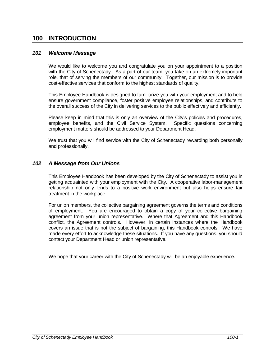# **100 INTRODUCTION**

#### *101 Welcome Message*

We would like to welcome you and congratulate you on your appointment to a position with the City of Schenectady. As a part of our team, you take on an extremely important role, that of serving the members of our community. Together, our mission is to provide cost-effective services that conform to the highest standards of quality.

This Employee Handbook is designed to familiarize you with your employment and to help ensure government compliance, foster positive employee relationships, and contribute to the overall success of the City in delivering services to the public effectively and efficiently.

Please keep in mind that this is only an overview of the City's policies and procedures, employee benefits, and the Civil Service System. Specific questions concerning employment matters should be addressed to your Department Head.

We trust that you will find service with the City of Schenectady rewarding both personally and professionally.

#### *102 A Message from Our Unions*

This Employee Handbook has been developed by the City of Schenectady to assist you in getting acquainted with your employment with the City. A cooperative labor-management relationship not only lends to a positive work environment but also helps ensure fair treatment in the workplace.

For union members, the collective bargaining agreement governs the terms and conditions of employment. You are encouraged to obtain a copy of your collective bargaining agreement from your union representative. Where that Agreement and this Handbook conflict, the Agreement controls. However, in certain instances where the Handbook covers an issue that is not the subject of bargaining, this Handbook controls. We have made every effort to acknowledge these situations. If you have any questions, you should contact your Department Head or union representative.

We hope that your career with the City of Schenectady will be an enjoyable experience.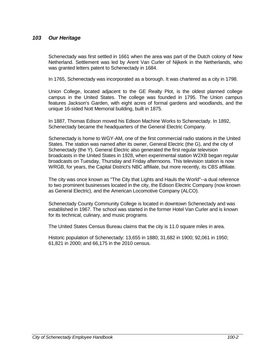#### *103 Our Heritage*

Schenectady was first settled in 1661 when the area was part of the Dutch colony of New Netherland. Settlement was led by Arent Van Curler of Nijkerk in the Netherlands, who was granted letters patent to Schenectady in 1684.

In 1765, Schenectady was incorporated as a borough. It was chartered as a city in 1798.

Union College, located adjacent to the GE Realty Plot, is the oldest planned college campus in the United States. The college was founded in 1795. The Union campus features Jackson's Garden, with eight acres of formal gardens and woodlands, and the unique 16-sided Nott Memorial building, built in 1875.

In 1887, Thomas Edison moved his Edison Machine Works to Schenectady. In 1892, Schenectady became the headquarters of the General Electric Company.

Schenectady is home to WGY-AM, one of the first commercial radio stations in the United States. The station was named after its owner, General Electric (the G), and the city of Schenectady (the Y). General Electric also generated the first regular television broadcasts in the United States in 1928, when experimental station W2XB began regular broadcasts on Tuesday, Thursday and Friday afternoons. This television station is now WRGB, for years, the Capital District's NBC affiliate, but more recently, its CBS affiliate.

The city was once known as "The City that Lights and Hauls the World"--a dual reference to two prominent businesses located in the city, the Edison Electric Company (now known as General Electric), and the American Locomotive Company (ALCO).

Schenectady County Community College is located in downtown Schenectady and was established in 1967. The school was started in the former Hotel Van Curler and is known for its technical, culinary, and music programs.

The United States Census Bureau claims that the city is 11.0 square miles in area.

Historic population of Schenectady: 13,655 in 1880; 31,682 in 1900; 92,061 in 1950; 61,821 in 2000; and 66,175 in the 2010 census.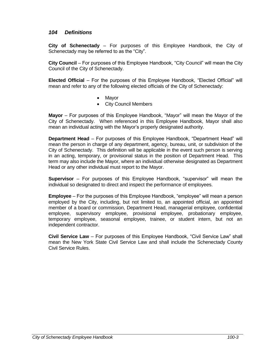#### *104 Definitions*

**City of Schenectady** *–* For purposes of this Employee Handbook, the City of Schenectady may be referred to as the "City".

**City Council** – For purposes of this Employee Handbook, "City Council" will mean the City Council of the City of Schenectady.

**Elected Official** – For the purposes of this Employee Handbook, "Elected Official" will mean and refer to any of the following elected officials of the City of Schenectady:

- Mayor
- City Council Members

**Mayor** – For purposes of this Employee Handbook, "Mayor" will mean the Mayor of the City of Schenectady. When referenced in this Employee Handbook, Mayor shall also mean an individual acting with the Mayor's properly designated authority.

**Department Head** – For purposes of this Employee Handbook, "Department Head" will mean the person in charge of any department, agency, bureau, unit, or subdivision of the City of Schenectady. This definition will be applicable in the event such person is serving in an acting, temporary, or provisional status in the position of Department Head. This term may also include the Mayor, where an individual otherwise designated as Department Head or any other individual must report to the Mayor.

**Supervisor** – For purposes of this Employee Handbook, "supervisor" will mean the individual so designated to direct and inspect the performance of employees.

**Employee** – For the purposes of this Employee Handbook, "employee" will mean a person employed by the City, including, but not limited to, an appointed official, an appointed member of a board or commission, Department Head, managerial employee, confidential employee, supervisory employee, provisional employee, probationary employee, temporary employee, seasonal employee, trainee, or student intern, but not an independent contractor.

**Civil Service Law** – For purposes of this Employee Handbook, "Civil Service Law" shall mean the New York State Civil Service Law and shall include the Schenectady County Civil Service Rules.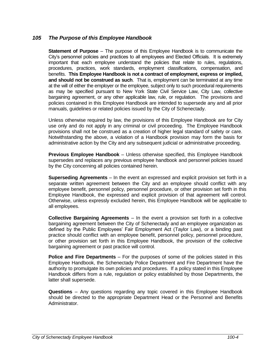#### *105 The Purpose of this Employee Handbook*

**Statement of Purpose** – The purpose of this Employee Handbook is to communicate the City's personnel policies and practices to all employees and Elected Officials. It is extremely important that each employee understand the policies that relate to rules, regulations, procedures, practices, work standards, employment classifications, compensation, and benefits. **This Employee Handbook is not a contract of employment, express or implied, and should not be construed as such**. That is, employment can be terminated at any time at the will of either the employer or the employee, subject only to such procedural requirements as may be specified pursuant to New York State Civil Service Law, City Law, collective bargaining agreement, or any other applicable law, rule, or regulation. The provisions and policies contained in this Employee Handbook are intended to supersede any and all prior manuals, guidelines or related policies issued by the City of Schenectady.

Unless otherwise required by law, the provisions of this Employee Handbook are for City use only and do not apply in any criminal or civil proceeding. The Employee Handbook provisions shall not be construed as a creation of higher legal standard of safety or care. Notwithstanding the above, a violation of a Handbook provision may form the basis for administrative action by the City and any subsequent judicial or administrative proceeding.

**Previous Employee Handbook** – Unless otherwise specified, this Employee Handbook supersedes and replaces any previous employee handbook and personnel policies issued by the City concerning all policies contained herein.

**Superseding Agreements** – In the event an expressed and explicit provision set forth in a separate written agreement between the City and an employee should conflict with any employee benefit, personnel policy, personnel procedure, or other provision set forth in this Employee Handbook, the expressed and explicit provision of that agreement will control. Otherwise, unless expressly excluded herein, this Employee Handbook will be applicable to all employees.

**Collective Bargaining Agreements** – In the event a provision set forth in a collective bargaining agreement between the City of Schenectady and an employee organization as defined by the Public Employees' Fair Employment Act (Taylor Law), or a binding past practice should conflict with an employee benefit, personnel policy, personnel procedure, or other provision set forth in this Employee Handbook, the provision of the collective bargaining agreement or past practice will control.

**Police and Fire Departments** – For the purposes of some of the policies stated in this Employee Handbook, the Schenectady Police Department and Fire Department have the authority to promulgate its own policies and procedures. If a policy stated in this Employee Handbook differs from a rule, regulation or policy established by those Departments, the latter shall supersede.

**Questions** – Any questions regarding any topic covered in this Employee Handbook should be directed to the appropriate Department Head or the Personnel and Benefits Administrator.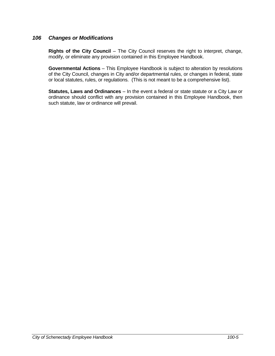#### *106 Changes or Modifications*

**Rights of the City Council** – The City Council reserves the right to interpret, change, modify, or eliminate any provision contained in this Employee Handbook.

**Governmental Actions** – This Employee Handbook is subject to alteration by resolutions of the City Council, changes in City and/or departmental rules, or changes in federal, state or local statutes, rules, or regulations. (This is not meant to be a comprehensive list).

**Statutes, Laws and Ordinances** – In the event a federal or state statute or a City Law or ordinance should conflict with any provision contained in this Employee Handbook, then such statute, law or ordinance will prevail.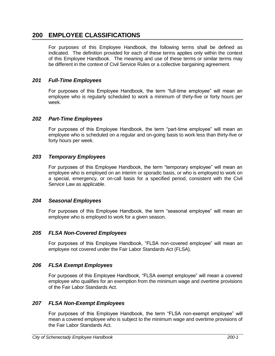# **200 EMPLOYEE CLASSIFICATIONS**

For purposes of this Employee Handbook, the following terms shall be defined as indicated. The definition provided for each of these terms applies only within the context of this Employee Handbook. The meaning and use of these terms or similar terms may be different in the context of Civil Service Rules or a collective bargaining agreement.

#### *201 Full-Time Employees*

For purposes of this Employee Handbook, the term "full-time employee" will mean an employee who is regularly scheduled to work a minimum of thirty-five or forty hours per week.

#### *202 Part-Time Employees*

For purposes of this Employee Handbook, the term "part-time employee" will mean an employee who is scheduled on a regular and on-going basis to work less than thirty-five or forty hours per week.

#### *203 Temporary Employees*

For purposes of this Employee Handbook, the term "temporary employee" will mean an employee who is employed on an interim or sporadic basis, or who is employed to work on a special, emergency, or on-call basis for a specified period, consistent with the Civil Service Law as applicable.

#### *204 Seasonal Employees*

For purposes of this Employee Handbook, the term "seasonal employee" will mean an employee who is employed to work for a given season.

#### *205 FLSA Non-Covered Employees*

For purposes of this Employee Handbook, "FLSA non-covered employee" will mean an employee not covered under the Fair Labor Standards Act (FLSA).

#### *206 FLSA Exempt Employees*

For purposes of this Employee Handbook, "FLSA exempt employee" will mean a covered employee who qualifies for an exemption from the minimum wage and overtime provisions of the Fair Labor Standards Act.

#### *207 FLSA Non-Exempt Employees*

For purposes of this Employee Handbook, the term "FLSA non-exempt employee" will mean a covered employee who is subject to the minimum wage and overtime provisions of the Fair Labor Standards Act.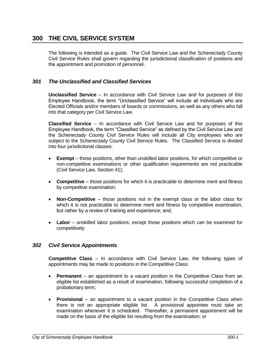# **300 THE CIVIL SERVICE SYSTEM**

The following is intended as a guide. The Civil Service Law and the Schenectady County Civil Service Rules shall govern regarding the jurisdictional classification of positions and the appointment and promotion of personnel.

#### *301 The Unclassified and Classified Services*

**Unclassified Service** – In accordance with Civil Service Law and for purposes of this Employee Handbook, the term "Unclassified Service" will include all individuals who are Elected Officials and/or members of boards or commissions, as well as any others who fall into that category per Civil Service Law.

**Classified Service** – In accordance with Civil Service Law and for purposes of this Employee Handbook, the term "Classified Service" as defined by the Civil Service Law and the Schenectady County Civil Service Rules will include all City employees who are subject to the Schenectady County Civil Service Rules. The Classified Service is divided into four jurisdictional classes:

- **Exempt** those positions, other than unskilled labor positions, for which competitive or non-competitive examinations or other qualification requirements are not practicable (Civil Service Law, Section 41);
- **Competitive** those positions for which it is practicable to determine merit and fitness by competitive examination;
- **Non-Competitive** those positions not in the exempt class or the labor class for which it is not practicable to determine merit and fitness by competitive examination, but rather by a review of training and experience; and,
- **Labor** unskilled labor positions, except those positions which can be examined for competitively.

#### *302 Civil Service Appointments*

**Competitive Class** – In accordance with Civil Service Law, the following types of appointments may be made to positions in the Competitive Class:

- **Permanent** an appointment to a vacant position in the Competitive Class from an eligible list established as a result of examination, following successful completion of a probationary term;
- **Provisional** an appointment to a vacant position in the Competitive Class when there is not an appropriate eligible list. A provisional appointee must take an examination whenever it is scheduled. Thereafter, a permanent appointment will be made on the basis of the eligible list resulting from the examination; or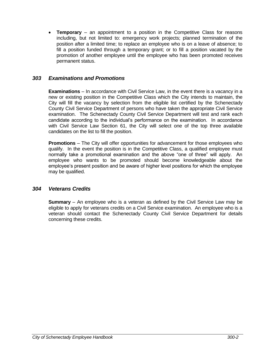**Temporary** – an appointment to a position in the Competitive Class for reasons including, but not limited to: emergency work projects; planned termination of the position after a limited time; to replace an employee who is on a leave of absence; to fill a position funded through a temporary grant; or to fill a position vacated by the promotion of another employee until the employee who has been promoted receives permanent status.

#### *303 Examinations and Promotions*

**Examinations** – In accordance with Civil Service Law, in the event there is a vacancy in a new or existing position in the Competitive Class which the City intends to maintain, the City will fill the vacancy by selection from the eligible list certified by the Schenectady County Civil Service Department of persons who have taken the appropriate Civil Service examination. The Schenectady County Civil Service Department will test and rank each candidate according to the individual's performance on the examination. In accordance with Civil Service Law Section 61, the City will select one of the top three available candidates on the list to fill the position.

**Promotions** – The City will offer opportunities for advancement for those employees who qualify. In the event the position is in the Competitive Class, a qualified employee must normally take a promotional examination and the above "one of three" will apply. An employee who wants to be promoted should become knowledgeable about the employee's present position and be aware of higher level positions for which the employee may be qualified.

#### *304 Veterans Credits*

**Summary** – An employee who is a veteran as defined by the Civil Service Law may be eligible to apply for veterans credits on a Civil Service examination. An employee who is a veteran should contact the Schenectady County Civil Service Department for details concerning these credits.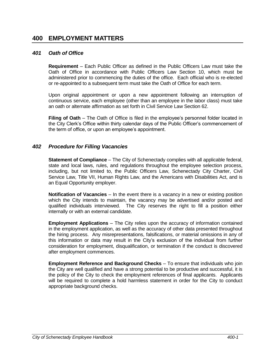# **400 EMPLOYMENT MATTERS**

#### *401 Oath of Office*

**Requirement** – Each Public Officer as defined in the Public Officers Law must take the Oath of Office in accordance with Public Officers Law Section 10, which must be administered prior to commencing the duties of the office. Each official who is re-elected or re-appointed to a subsequent term must take the Oath of Office for each term.

Upon original appointment or upon a new appointment following an interruption of continuous service, each employee (other than an employee in the labor class) must take an oath or alternate affirmation as set forth in Civil Service Law Section 62.

**Filing of Oath** – The Oath of Office is filed in the employee's personnel folder located in the City Clerk's Office within thirty calendar days of the Public Officer's commencement of the term of office, or upon an employee's appointment.

#### *402 Procedure for Filling Vacancies*

**Statement of Compliance** – The City of Schenectady complies with all applicable federal, state and local laws, rules, and regulations throughout the employee selection process, including, but not limited to, the Public Officers Law, Schenectady City Charter, Civil Service Law, Title VII, Human Rights Law, and the Americans with Disabilities Act, and is an Equal Opportunity employer.

**Notification of Vacancies** – In the event there is a vacancy in a new or existing position which the City intends to maintain, the vacancy may be advertised and/or posted and qualified individuals interviewed. The City reserves the right to fill a position either internally or with an external candidate.

**Employment Applications** – The City relies upon the accuracy of information contained in the employment application, as well as the accuracy of other data presented throughout the hiring process. Any misrepresentations, falsifications, or material omissions in any of this information or data may result in the City's exclusion of the individual from further consideration for employment, disqualification, or termination if the conduct is discovered after employment commences.

**Employment Reference and Background Checks** – To ensure that individuals who join the City are well qualified and have a strong potential to be productive and successful, it is the policy of the City to check the employment references of final applicants. Applicants will be required to complete a hold harmless statement in order for the City to conduct appropriate background checks.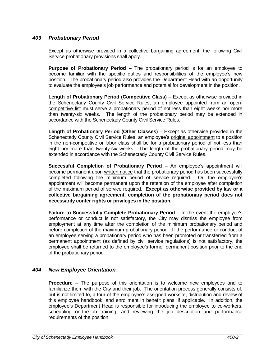#### *403 Probationary Period*

Except as otherwise provided in a collective bargaining agreement, the following Civil Service probationary provisions shall apply.

**Purpose of Probationary Period** – The probationary period is for an employee to become familiar with the specific duties and responsibilities of the employee's new position. The probationary period also provides the Department Head with an opportunity to evaluate the employee's job performance and potential for development in the position.

**Length of Probationary Period (Competitive Class)** – Except as otherwise provided in the Schenectady County Civil Service Rules, an employee appointed from an opencompetitive list must serve a probationary period of not less than eight weeks nor more than twenty-six weeks. The length of the probationary period may be extended in accordance with the Schenectady County Civil Service Rules.

**Length of Probationary Period (Other Classes)** – Except as otherwise provided in the Schenectady County Civil Service Rules, an employee's original appointment to a position in the non-competitive or labor class shall be for a probationary period of not less than eight nor more than twenty-six weeks. The length of the probationary period may be extended in accordance with the Schenectady County Civil Service Rules.

**Successful Completion of Probationary Period** – An employee's appointment will become permanent upon written notice that the probationary period has been successfully completed following the minimum period of service required. Or, the employee's appointment will become permanent upon the retention of the employee after completion of the maximum period of service required. **Except as otherwise provided by law or a collective bargaining agreement, completion of the probationary period does not necessarily confer rights or privileges in the position.**

**Failure to Successfully Complete Probationary Period** – In the event the employee's performance or conduct is not satisfactory, the City may dismiss the employee from employment at any time after the completion of the minimum probationary period and before completion of the maximum probationary period. If the performance or conduct of an employee serving a probationary period who has been promoted or transferred from a permanent appointment (as defined by civil service regulations) is not satisfactory, the employee shall be returned to the employee's former permanent position prior to the end of the probationary period.

#### *404 New Employee Orientation*

**Procedure** – The purpose of this orientation is to welcome new employees and to familiarize them with the City and their job. The orientation process generally consists of, but is not limited to, a tour of the employee's assigned worksite, distribution and review of this employee handbook, and enrollment in benefit plans, if applicable. In addition, the employee's Department Head is responsible for introducing the employee to co-workers, scheduling on-the-job training, and reviewing the job description and performance requirements of the position.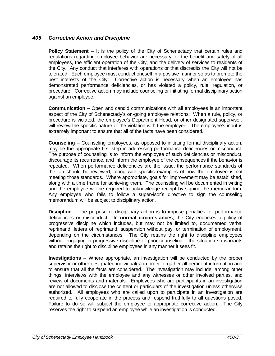#### *405 Corrective Action and Discipline*

**Policy Statement** – It is the policy of the City of Schenectady that certain rules and regulations regarding employee behavior are necessary for the benefit and safety of all employees, the efficient operation of the City, and the delivery of services to residents of the City. Any conduct that interferes with operations or that discredits the City will not be tolerated. Each employee must conduct oneself in a positive manner so as to promote the best interests of the City. Corrective action is necessary when an employee has demonstrated performance deficiencies, or has violated a policy, rule, regulation, or procedure. Corrective action may include counseling or initiating formal disciplinary action against an employee.

**Communication** – Open and candid communications with all employees is an important aspect of the City of Schenectady's on-going employee relations. When a rule, policy, or procedure is violated, the employee's Department Head, or other designated supervisor, will review the specific nature of the violation with the employee. The employee's input is extremely important to ensure that all of the facts have been considered.

**Counseling** – Counseling employees, as opposed to initiating formal disciplinary action, may be the appropriate first step in addressing performance deficiencies or misconduct. The purpose of counseling is to inform the employee of such deficiencies or misconduct, discourage its recurrence, and inform the employee of the consequences if the behavior is repeated. When performance deficiencies are the issue, the performance standards of the job should be reviewed, along with specific examples of how the employee is not meeting those standards. Where appropriate, goals for improvement may be established, along with a time frame for achieving them. The counseling will be documented in writing and the employee will be required to acknowledge receipt by signing the memorandum. Any employee who fails to follow a supervisor's directive to sign the counseling memorandum will be subject to disciplinary action.

**Discipline** – The purpose of disciplinary action is to impose penalties for performance deficiencies or misconduct. In **normal circumstances**, the City endorses a policy of progressive discipline which includes, but may not be limited to, documented verbal reprimand, letters of reprimand, suspension without pay, or termination of employment, depending on the circumstances. The City retains the right to discipline employees without engaging in progressive discipline or prior counseling if the situation so warrants and retains the right to discipline employees in any manner it sees fit.

**Investigations** – Where appropriate, an investigation will be conducted by the proper supervisor or other designated individual(s) in order to gather all pertinent information and to ensure that all the facts are considered. The investigation may include, among other things, interviews with the employee and any witnesses or other involved parties, and review of documents and materials. Employees who are participants in an investigation are not allowed to disclose the content or particulars of the investigation unless otherwise authorized. All employees who are called upon to participate in an investigation are required to fully cooperate in the process and respond truthfully to all questions posed. Failure to do so will subject the employee to appropriate corrective action. The City reserves the right to suspend an employee while an investigation is conducted.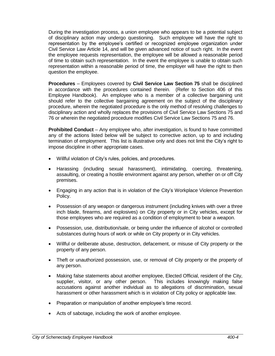During the investigation process, a union employee who appears to be a potential subject of disciplinary action may undergo questioning. Such employee will have the right to representation by the employee's certified or recognized employee organization under Civil Service Law Article 14, and will be given advanced notice of such right. In the event the employee requests representation, the employee will be allowed a reasonable period of time to obtain such representation. In the event the employee is unable to obtain such representation within a reasonable period of time, the employer will have the right to then question the employee.

**Procedures** – Employees covered by **Civil Service Law Section 75** shall be disciplined in accordance with the procedures contained therein. (Refer to Section 406 of this Employee Handbook). An employee who is a member of a collective bargaining unit should refer to the collective bargaining agreement on the subject of the disciplinary procedure, wherein the negotiated procedure is the only method of resolving challenges to disciplinary action and wholly replaces the provisions of Civil Service Law Sections 75 and 76 or wherein the negotiated procedure modifies Civil Service Law Sections 75 and 76.

**Prohibited Conduct** – Any employee who, after investigation, is found to have committed any of the actions listed below will be subject to corrective action, up to and including termination of employment. This list is illustrative only and does not limit the City's right to impose discipline in other appropriate cases.

- Willful violation of City's rules, policies, and procedures.
- Harassing (including sexual harassment), intimidating, coercing, threatening, assaulting, or creating a hostile environment against any person, whether on or off City premises.
- Engaging in any action that is in violation of the City's Workplace Violence Prevention Policy.
- Possession of any weapon or dangerous instrument (including knives with over a three inch blade, firearms, and explosives) on City property or in City vehicles, except for those employees who are required as a condition of employment to bear a weapon.
- Possession, use, distribution/sale, or being under the influence of alcohol or controlled substances during hours of work or while on City property or in City vehicles.
- Willful or deliberate abuse, destruction, defacement, or misuse of City property or the property of any person.
- Theft or unauthorized possession, use, or removal of City property or the property of any person.
- Making false statements about another employee, Elected Official, resident of the City, supplier, visitor, or any other person. This includes knowingly making false accusations against another individual as to allegations of discrimination, sexual harassment or other harassment which is in violation of City policy or applicable law.
- Preparation or manipulation of another employee's time record.
- Acts of sabotage, including the work of another employee.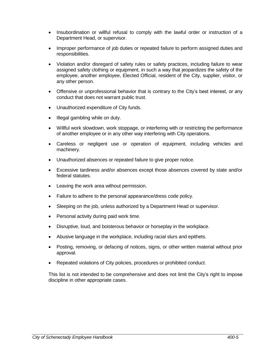- Insubordination or willful refusal to comply with the lawful order or instruction of a Department Head, or supervisor.
- Improper performance of job duties or repeated failure to perform assigned duties and responsibilities.
- Violation and/or disregard of safety rules or safety practices, including failure to wear assigned safety clothing or equipment, in such a way that jeopardizes the safety of the employee, another employee, Elected Official, resident of the City, supplier, visitor, or any other person.
- Offensive or unprofessional behavior that is contrary to the City's best interest, or any conduct that does not warrant public trust.
- Unauthorized expenditure of City funds.
- Illegal gambling while on duty.
- Willful work slowdown, work stoppage, or interfering with or restricting the performance of another employee or in any other way interfering with City operations.
- Careless or negligent use or operation of equipment, including vehicles and machinery.
- Unauthorized absences or repeated failure to give proper notice.
- Excessive tardiness and/or absences except those absences covered by state and/or federal statutes.
- Leaving the work area without permission.
- Failure to adhere to the personal appearance/dress code policy.
- Sleeping on the job, unless authorized by a Department Head or supervisor.
- Personal activity during paid work time.
- Disruptive, loud, and boisterous behavior or horseplay in the workplace.
- Abusive language in the workplace, including racial slurs and epithets.
- Posting, removing, or defacing of notices, signs, or other written material without prior approval.
- Repeated violations of City policies, procedures or prohibited conduct.

This list is not intended to be comprehensive and does not limit the City's right to impose discipline in other appropriate cases.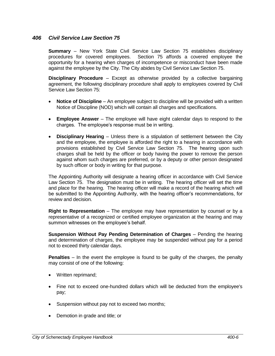#### *406 Civil Service Law Section 75*

**Summary** – New York State Civil Service Law Section 75 establishes disciplinary procedures for covered employees. Section 75 affords a covered employee the opportunity for a hearing when charges of incompetence or misconduct have been made against the employee by the City. The City abides by Civil Service Law Section 75.

**Disciplinary Procedure** – Except as otherwise provided by a collective bargaining agreement, the following disciplinary procedure shall apply to employees covered by Civil Service Law Section 75:

- **Notice of Discipline** An employee subject to discipline will be provided with a written Notice of Discipline (NOD) which will contain all charges and specifications.
- **Employee Answer** The employee will have eight calendar days to respond to the charges. The employee's response must be in writing.
- **Disciplinary Hearing** Unless there is a stipulation of settlement between the City and the employee, the employee is afforded the right to a hearing in accordance with provisions established by Civil Service Law Section 75. The hearing upon such charges shall be held by the officer or body having the power to remove the person against whom such charges are preferred, or by a deputy or other person designated by such officer or body in writing for that purpose.

The Appointing Authority will designate a hearing officer in accordance with Civil Service Law Section 75. The designation must be in writing. The hearing officer will set the time and place for the hearing. The hearing officer will make a record of the hearing which will be submitted to the Appointing Authority, with the hearing officer's recommendations, for review and decision.

**Right to Representation** – The employee may have representation by counsel or by a representative of a recognized or certified employee organization at the hearing and may summon witnesses on the employee's behalf.

**Suspension Without Pay Pending Determination of Charges** – Pending the hearing and determination of charges, the employee may be suspended without pay for a period not to exceed thirty calendar days.

**Penalties** – In the event the employee is found to be guilty of the charges, the penalty may consist of one of the following:

- Written reprimand;
- Fine not to exceed one-hundred dollars which will be deducted from the employee's pay;
- Suspension without pay not to exceed two months;
- Demotion in grade and title; or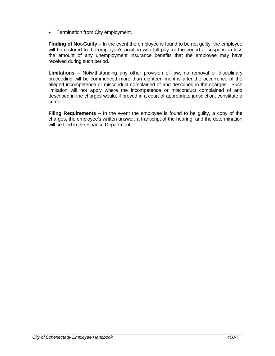• Termination from City employment.

**Finding of Not-Guilty** – In the event the employee is found to be not guilty, the employee will be restored to the employee's position with full pay for the period of suspension less the amount of any unemployment insurance benefits that the employee may have received during such period.

**Limitations** – Notwithstanding any other provision of law, no removal or disciplinary proceeding will be commenced more than eighteen months after the occurrence of the alleged incompetence or misconduct complained of and described in the charges. Such limitation will not apply where the incompetence or misconduct complained of and described in the charges would, if proved in a court of appropriate jurisdiction, constitute a crime.

**Filing Requirements** – In the event the employee is found to be guilty, a copy of the charges, the employee's written answer, a transcript of the hearing, and the determination will be filed in the Finance Department.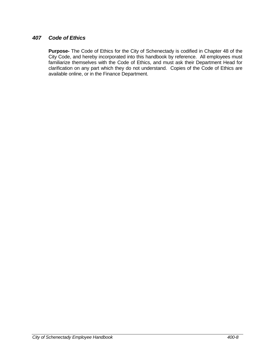#### *407 Code of Ethics*

**Purpose-** The Code of Ethics for the City of Schenectady is codified in Chapter 48 of the City Code, and hereby incorporated into this handbook by reference. All employees must familiarize themselves with the Code of Ethics, and must ask their Department Head for clarification on any part which they do not understand. Copies of the Code of Ethics are available online, or in the Finance Department.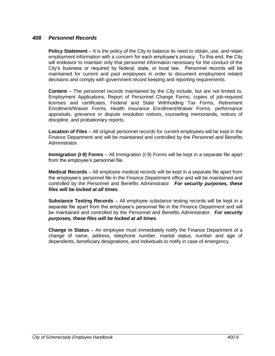#### *408 Personnel Records*

**Policy Statement** – It is the policy of the City to balance its need to obtain, use, and retain employment information with a concern for each employee's privacy. To this end, the City will endeavor to maintain only that personnel information necessary for the conduct of the City's business or required by federal, state, or local law. Personnel records will be maintained for current and past employees in order to document employment related decisions and comply with government record keeping and reporting requirements.

**Content** – The personnel records maintained by the City include, but are not limited to, Employment Applications, Report of Personnel Change Forms; copies of job-required licenses and certificates, Federal and State Withholding Tax Forms, Retirement Enrollment/Waiver Forms, Health Insurance Enrollment/Waiver Forms, performance appraisals, grievance or dispute resolution notices, counseling memoranda, notices of discipline, and probationary reports.

**Location of Files** – All original personnel records for current employees will be kept in the Finance Department and will be maintained and controlled by the Personnel and Benefits Administrator.

**Immigration (I-9) Forms** – All Immigration (I-9) Forms will be kept in a separate file apart from the employee's personnel file.

**Medical Records** – All employee medical records will be kept in a separate file apart from the employee's personnel file in the Finance Department office and will be maintained and controlled by the Personnel and Benefits Administrator. *For security purposes, these files will be locked at all times*.

**Substance Testing Records** – All employee substance testing records will be kept in a separate file apart from the employee's personnel file in the Finance Department and will be maintained and controlled by the Personnel and Benefits Administrator. *For security purposes, these files will be locked at all times*.

**Change in Status** – An employee must immediately notify the Finance Department of a change of name, address, telephone number, marital status, number and age of dependents, beneficiary designations, and individuals to notify in case of emergency.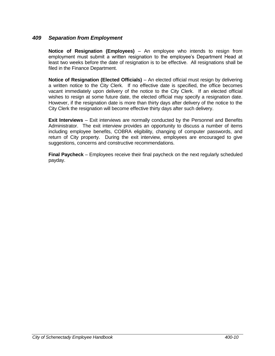#### *409 Separation from Employment*

**Notice of Resignation (Employees)** – An employee who intends to resign from employment must submit a written resignation to the employee's Department Head at least two weeks before the date of resignation is to be effective. All resignations shall be filed in the Finance Department.

**Notice of Resignation (Elected Officials)** – An elected official must resign by delivering a written notice to the City Clerk. If no effective date is specified, the office becomes vacant immediately upon delivery of the notice to the City Clerk. If an elected official wishes to resign at some future date, the elected official may specify a resignation date. However, if the resignation date is more than thirty days after delivery of the notice to the City Clerk the resignation will become effective thirty days after such delivery.

**Exit Interviews** – Exit interviews are normally conducted by the Personnel and Benefits Administrator. The exit interview provides an opportunity to discuss a number of items including employee benefits, COBRA eligibility, changing of computer passwords, and return of City property. During the exit interview, employees are encouraged to give suggestions, concerns and constructive recommendations.

**Final Paycheck** – Employees receive their final paycheck on the next regularly scheduled payday.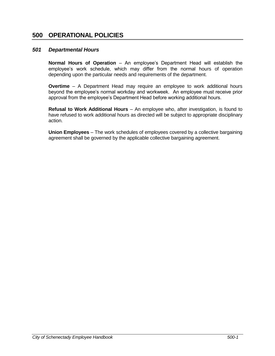# **500 OPERATIONAL POLICIES**

#### *501 Departmental Hours*

**Normal Hours of Operation** – An employee's Department Head will establish the employee's work schedule, which may differ from the normal hours of operation depending upon the particular needs and requirements of the department.

**Overtime** – A Department Head may require an employee to work additional hours beyond the employee's normal workday and workweek. An employee must receive prior approval from the employee's Department Head before working additional hours.

**Refusal to Work Additional Hours** – An employee who, after investigation, is found to have refused to work additional hours as directed will be subject to appropriate disciplinary action.

**Union Employees** – The work schedules of employees covered by a collective bargaining agreement shall be governed by the applicable collective bargaining agreement.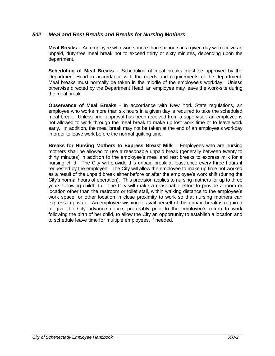#### *502 Meal and Rest Breaks and Breaks for Nursing Mothers*

**Meal Breaks** – An employee who works more than six hours in a given day will receive an unpaid, duty-free meal break not to exceed thirty or sixty minutes, depending upon the department.

**Scheduling of Meal Breaks** – Scheduling of meal breaks must be approved by the Department Head in accordance with the needs and requirements of the department. Meal breaks must normally be taken in the middle of the employee's workday. Unless otherwise directed by the Department Head, an employee may leave the work-site during the meal break.

**Observance of Meal Breaks** - In accordance with New York State regulations, an employee who works more than six hours in a given day is required to take the scheduled meal break. Unless prior approval has been received from a supervisor, an employee is not allowed to work through the meal break to make up lost work time or to leave work early. In addition, the meal break may not be taken at the end of an employee's workday in order to leave work before the normal quitting time.

**Breaks for Nursing Mothers to Express Breast Milk** – Employees who are nursing mothers shall be allowed to use a reasonable unpaid break (generally between twenty to thirty minutes) in addition to the employee's meal and rest breaks to express milk for a nursing child. The City will provide this unpaid break at least once every three hours if requested by the employee. The City will allow the employee to make up time not worked as a result of the unpaid break either before or after the employee's work shift (during the City's normal hours of operation). This provision applies to nursing mothers for up to three years following childbirth. The City will make a reasonable effort to provide a room or location other than the restroom or toilet stall, within walking distance to the employee's work space, or other location in close proximity to work so that nursing mothers can express in private. An employee wishing to avail herself of this unpaid break is required to give the City advance notice, preferably prior to the employee's return to work following the birth of her child, to allow the City an opportunity to establish a location and to schedule leave time for multiple employees, if needed.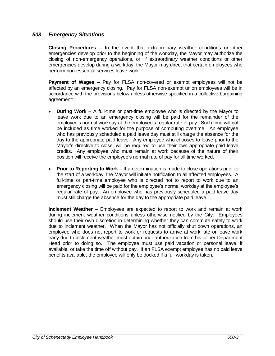#### *503 Emergency Situations*

**Closing Procedures** – In the event that extraordinary weather conditions or other emergencies develop prior to the beginning of the workday, the Mayor may authorize the closing of non-emergency operations, or, if extraordinary weather conditions or other emergencies develop during a workday, the Mayor may direct that certain employees who perform non-essential services leave work.

**Payment of Wages** – Pay for FLSA non-covered or exempt employees will not be affected by an emergency closing. Pay for FLSA non-exempt union employees will be in accordance with the provisions below unless otherwise specified in a collective bargaining agreement:

- **During Work** A full-time or part-time employee who is directed by the Mayor to leave work due to an emergency closing will be paid for the remainder of the employee's normal workday at the employee's regular rate of pay. Such time will not be included as time worked for the purpose of computing overtime. An employee who has previously scheduled a paid leave day must still charge the absence for the day to the appropriate paid leave. Any employee who chooses to leave prior to the Mayor's directive to close, will be required to use their own appropriate paid leave credits. Any employee who must remain at work because of the nature of their position will receive the employee's normal rate of pay for all time worked.
- **Prior to Reporting to Work** If a determination is made to close operations prior to the start of a workday, the Mayor will initiate notification to all affected employees. A full-time or part-time employee who is directed not to report to work due to an emergency closing will be paid for the employee's normal workday at the employee's regular rate of pay. An employee who has previously scheduled a paid leave day must still charge the absence for the day to the appropriate paid leave.

**Inclement Weather** – Employees are expected to report to work and remain at work during inclement weather conditions unless otherwise notified by the City. Employees should use their own discretion in determining whether they can commute safely to work due to inclement weather.When the Mayor has not officially shut down operations, an employee who does not report to work or requests to arrive at work late or leave work early due to inclement weather must obtain prior authorization from his or her Department Head prior to doing so. The employee must use paid vacation or personal leave, if available, or take the time off without pay. If an FLSA exempt employee has no paid leave benefits available, the employee will only be docked if a full workday is taken.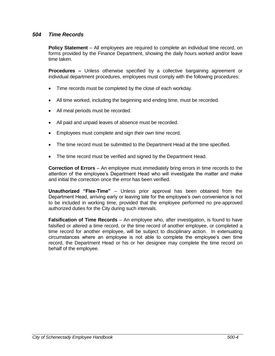#### *504 Time Records*

**Policy Statement** – All employees are required to complete an individual time record, on forms provided by the Finance Department, showing the daily hours worked and/or leave time taken.

**Procedures –** Unless otherwise specified by a collective bargaining agreement or individual department procedures, employees must comply with the following procedures:

- Time records must be completed by the close of each workday.
- All time worked, including the beginning and ending time, must be recorded.
- All meal periods must be recorded.
- All paid and unpaid leaves of absence must be recorded.
- Employees must complete and sign their own time record.
- The time record must be submitted to the Department Head at the time specified.
- The time record must be verified and signed by the Department Head.

**Correction of Errors** – An employee must immediately bring errors in time records to the attention of the employee's Department Head who will investigate the matter and make and initial the correction once the error has been verified.

**Unauthorized "Flex-Time"** – Unless prior approval has been obtained from the Department Head, arriving early or leaving late for the employee's own convenience is not to be included in working time, provided that the employee performed no pre-approved authorized duties for the City during such intervals.

**Falsification of Time Records** – An employee who, after investigation, is found to have falsified or altered a time record, or the time record of another employee, or completed a time record for another employee, will be subject to disciplinary action. In extenuating circumstances where an employee is not able to complete the employee's own time record, the Department Head or his or her designee may complete the time record on behalf of the employee.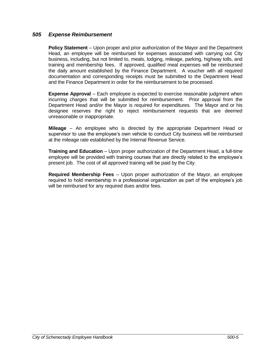#### *505 Expense Reimbursement*

**Policy Statement** – Upon proper and prior authorization of the Mayor and the Department Head, an employee will be reimbursed for expenses associated with carrying out City business, including, but not limited to, meals, lodging, mileage, parking, highway tolls, and training and membership fees. If approved, qualified meal expenses will be reimbursed the daily amount established by the Finance Department. A voucher with all required documentation and corresponding receipts must be submitted to the Department Head and the Finance Department in order for the reimbursement to be processed.

**Expense Approval** – Each employee is expected to exercise reasonable judgment when incurring charges that will be submitted for reimbursement. Prior approval from the Department Head and/or the Mayor is required for expenditures. The Mayor and or his designee reserves the right to reject reimbursement requests that are deemed unreasonable or inappropriate.

**Mileage** – An employee who is directed by the appropriate Department Head or supervisor to use the employee's own vehicle to conduct City business will be reimbursed at the mileage rate established by the Internal Revenue Service.

**Training and Education** – Upon proper authorization of the Department Head, a full-time employee will be provided with training courses that are directly related to the employee's present job. The cost of all approved training will be paid by the City.

**Required Membership Fees** – Upon proper authorization of the Mayor, an employee required to hold membership in a professional organization as part of the employee's job will be reimbursed for any required dues and/or fees.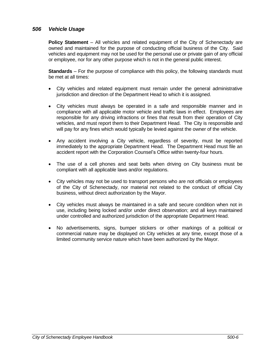#### *506 Vehicle Usage*

**Policy Statement** – All vehicles and related equipment of the City of Schenectady are owned and maintained for the purpose of conducting official business of the City. Said vehicles and equipment may not be used for the personal use or private gain of any official or employee, nor for any other purpose which is not in the general public interest.

**Standards** – For the purpose of compliance with this policy, the following standards must be met at all times:

- City vehicles and related equipment must remain under the general administrative jurisdiction and direction of the Department Head to which it is assigned.
- City vehicles must always be operated in a safe and responsible manner and in compliance with all applicable motor vehicle and traffic laws in effect. Employees are responsible for any driving infractions or fines that result from their operation of City vehicles, and must report them to their Department Head. The City is responsible and will pay for any fines which would typically be levied against the owner of the vehicle.
- Any accident involving a City vehicle, regardless of severity, must be reported immediately to the appropriate Department Head. The Department Head must file an accident report with the Corporation Counsel's Office within twenty-four hours.
- The use of a cell phones and seat belts when driving on City business must be compliant with all applicable laws and/or regulations.
- City vehicles may not be used to transport persons who are not officials or employees of the City of Schenectady, nor material not related to the conduct of official City business, without direct authorization by the Mayor.
- City vehicles must always be maintained in a safe and secure condition when not in use, including being locked and/or under direct observation; and all keys maintained under controlled and authorized jurisdiction of the appropriate Department Head.
- No advertisements, signs, bumper stickers or other markings of a political or commercial nature may be displayed on City vehicles at any time, except those of a limited community service nature which have been authorized by the Mayor.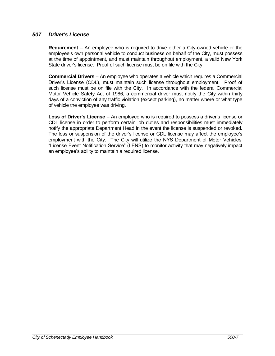#### *507 Driver's License*

**Requirement** – An employee who is required to drive either a City-owned vehicle or the employee's own personal vehicle to conduct business on behalf of the City, must possess at the time of appointment, and must maintain throughout employment, a valid New York State driver's license. Proof of such license must be on file with the City.

**Commercial Drivers** – An employee who operates a vehicle which requires a Commercial Driver's License (CDL), must maintain such license throughout employment. Proof of such license must be on file with the City. In accordance with the federal Commercial Motor Vehicle Safety Act of 1986, a commercial driver must notify the City within thirty days of a conviction of any traffic violation (except parking), no matter where or what type of vehicle the employee was driving.

**Loss of Driver's License** – An employee who is required to possess a driver's license or CDL license in order to perform certain job duties and responsibilities must immediately notify the appropriate Department Head in the event the license is suspended or revoked. The loss or suspension of the driver's license or CDL license may affect the employee's employment with the City. The City will utilize the NYS Department of Motor Vehicles' "License Event Notification Service" (LENS) to monitor activity that may negatively impact an employee's ability to maintain a required license.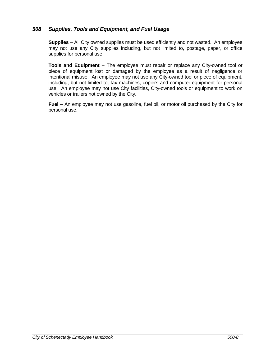#### *508 Supplies, Tools and Equipment, and Fuel Usage*

**Supplies** – All City owned supplies must be used efficiently and not wasted. An employee may not use any City supplies including, but not limited to, postage, paper, or office supplies for personal use.

**Tools and Equipment** – The employee must repair or replace any City-owned tool or piece of equipment lost or damaged by the employee as a result of negligence or intentional misuse. An employee may not use any City-owned tool or piece of equipment, including, but not limited to, fax machines, copiers and computer equipment for personal use. An employee may not use City facilities, City-owned tools or equipment to work on vehicles or trailers not owned by the City.

**Fuel** – An employee may not use gasoline, fuel oil, or motor oil purchased by the City for personal use.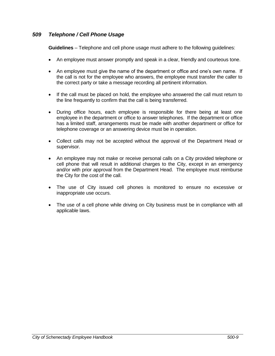#### *509 Telephone / Cell Phone Usage*

**Guidelines** – Telephone and cell phone usage must adhere to the following guidelines:

- An employee must answer promptly and speak in a clear, friendly and courteous tone.
- An employee must give the name of the department or office and one's own name. If the call is not for the employee who answers, the employee must transfer the caller to the correct party or take a message recording all pertinent information.
- If the call must be placed on hold, the employee who answered the call must return to the line frequently to confirm that the call is being transferred.
- During office hours, each employee is responsible for there being at least one employee in the department or office to answer telephones. If the department or office has a limited staff, arrangements must be made with another department or office for telephone coverage or an answering device must be in operation.
- Collect calls may not be accepted without the approval of the Department Head or supervisor.
- An employee may not make or receive personal calls on a City provided telephone or cell phone that will result in additional charges to the City, except in an emergency and/or with prior approval from the Department Head. The employee must reimburse the City for the cost of the call.
- The use of City issued cell phones is monitored to ensure no excessive or inappropriate use occurs.
- The use of a cell phone while driving on City business must be in compliance with all applicable laws.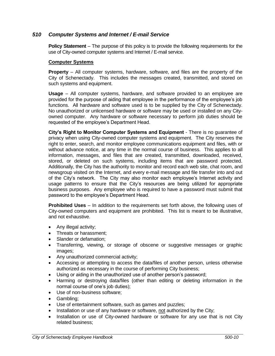#### *510 Computer Systems and Internet / E-mail Service*

**Policy Statement** – The purpose of this policy is to provide the following requirements for the use of City-owned computer systems and Internet / E-mail service.

#### **Computer Systems**

**Property** – All computer systems, hardware, software, and files are the property of the City of Schenectady. This includes the messages created, transmitted, and stored on such systems and equipment.

**Usage** – All computer systems, hardware, and software provided to an employee are provided for the purpose of aiding that employee in the performance of the employee's job functions. All hardware and software used is to be supplied by the City of Schenectady. No unauthorized or unlicensed hardware or software may be used or installed on any Cityowned computer. Any hardware or software necessary to perform job duties should be requested of the employee's Department Head.

**City's Right to Monitor Computer Systems and Equipment** - There is no guarantee of privacy when using City-owned computer systems and equipment. The City reserves the right to enter, search, and monitor employee communications equipment and files, with or without advance notice, at any time in the normal course of business. This applies to all information, messages, and files that are created, transmitted, downloaded, received, stored, or deleted on such systems, including items that are password protected. Additionally, the City has the authority to monitor and record each web site, chat room, and newsgroup visited on the Internet, and every e-mail message and file transfer into and out of the City's network. The City may also monitor each employee's Internet activity and usage patterns to ensure that the City's resources are being utilized for appropriate business purposes. Any employee who is required to have a password must submit that password to the employee's Department Head.

**Prohibited Uses** – In addition to the requirements set forth above, the following uses of City-owned computers and equipment are prohibited. This list is meant to be illustrative, and not exhaustive.

- Any illegal activity;
- Threats or harassment:
- Slander or defamation:
- Transferring, viewing, or storage of obscene or suggestive messages or graphic images;
- Any unauthorized commercial activity;
- Accessing or attempting to access the data/files of another person, unless otherwise authorized as necessary in the course of performing City business;
- Using or aiding in the unauthorized use of another person's password;
- Harming or destroying data/files (other than editing or deleting information in the normal course of one's job duties);
- Use of non-business software;
- Gambling;
- Use of entertainment software, such as games and puzzles;
- Installation or use of any hardware or software, not authorized by the City;
- Installation or use of City-owned hardware or software for any use that is not City related business;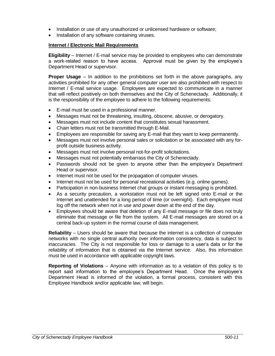- Installation or use of any unauthorized or unlicensed hardware or software;
- Installation of any software containing viruses.

#### **Internet / Electronic Mail Requirements**

**Eligibility** – Internet / E-mail service may be provided to employees who can demonstrate a work-related reason to have access. Approval must be given by the employee's Department Head or supervisor.

**Proper Usage** – In addition to the prohibitions set forth in the above paragraphs, any activities prohibited for any other general computer user are also prohibited with respect to Internet / E-mail service usage. Employees are expected to communicate in a manner that will reflect positively on both themselves and the City of Schenectady. Additionally, it is the responsibility of the employee to adhere to the following requirements:

- E-mail must be used in a professional manner.
- Messages must not be threatening, insulting, obscene, abusive, or derogatory.
- Messages must not include content that constitutes sexual harassment.
- Chain letters must not be transmitted through E-Mail.
- Employees are responsible for saving any E-mail that they want to keep permanently.
- Messages must not involve personal sales or solicitation or be associated with any forprofit outside business activity.
- Messages must not involve personal not-for-profit solicitations.
- Messages must not potentially embarrass the City of Schenectady.
- Passwords should not be given to anyone other than the employee's Department Head or supervisor.
- Internet must not be used for the propagation of computer viruses.
- Internet must not be used for personal recreational activities (e.g. online games).
- Participation in non-business Internet chat groups or instant messaging is prohibited.
- As a security precaution, a workstation must not be left signed onto E-mail or the Internet and unattended for a long period of time (or overnight). Each employee must log off the network when not in use and power down at the end of the day.
- Employees should be aware that deletion of any E-mail message or file does not truly eliminate that message or file from the system. All E-mail messages are stored on a central back-up system in the normal course of data management.

**Reliability** – Users should be aware that because the internet is a collection of computer networks with no single central authority over information consistency, data is subject to inaccuracies. The City is not responsible for loss or damage to a user's data or for the reliability of information that is obtained via the Internet service. Also, this information must be used in accordance with applicable copyright laws.

**Reporting of Violations** – Anyone with information as to a violation of this policy is to report said information to the employee's Department Head. Once the employee's Department Head is informed of the violation, a formal process, consistent with this Employee Handbook and/or applicable law, will begin.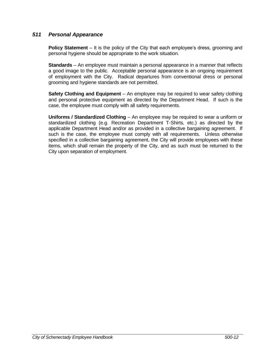#### *511 Personal Appearance*

**Policy Statement** – It is the policy of the City that each employee's dress, grooming and personal hygiene should be appropriate to the work situation.

**Standards** – An employee must maintain a personal appearance in a manner that reflects a good image to the public. Acceptable personal appearance is an ongoing requirement of employment with the City. Radical departures from conventional dress or personal grooming and hygiene standards are not permitted.

**Safety Clothing and Equipment** – An employee may be required to wear safety clothing and personal protective equipment as directed by the Department Head. If such is the case, the employee must comply with all safety requirements.

**Uniforms / Standardized Clothing** – An employee may be required to wear a uniform or standardized clothing (e.g. Recreation Department T-Shirts, etc.) as directed by the applicable Department Head and/or as provided in a collective bargaining agreement. If such is the case, the employee must comply with all requirements. Unless otherwise specified in a collective bargaining agreement, the City will provide employees with these items, which shall remain the property of the City, and as such must be returned to the City upon separation of employment.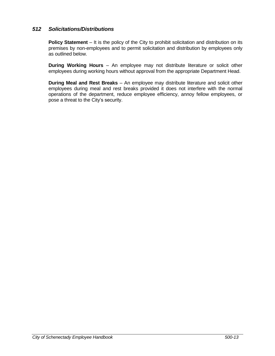#### *512 Solicitations/Distributions*

**Policy Statement** – It is the policy of the City to prohibit solicitation and distribution on its premises by non-employees and to permit solicitation and distribution by employees only as outlined below.

**During Working Hours** – An employee may not distribute literature or solicit other employees during working hours without approval from the appropriate Department Head.

**During Meal and Rest Breaks** – An employee may distribute literature and solicit other employees during meal and rest breaks provided it does not interfere with the normal operations of the department, reduce employee efficiency, annoy fellow employees, or pose a threat to the City's security.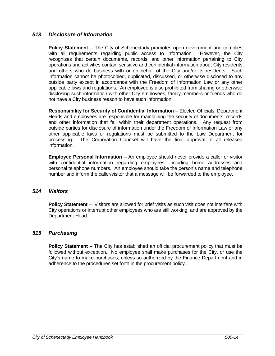#### *513 Disclosure of Information*

**Policy Statement** – The City of Schenectady promotes open government and complies with all requirements regarding public access to information. However, the City recognizes that certain documents, records, and other information pertaining to City operations and activities contain sensitive and confidential information about City residents and others who do business with or on behalf of the City and/or its residents. Such information cannot be photocopied, duplicated, discussed, or otherwise disclosed to any outside party except in accordance with the Freedom of Information Law or any other applicable laws and regulations. An employee is also prohibited from sharing or otherwise disclosing such information with other City employees, family members or friends who do not have a City business reason to have such information.

**Responsibility for Security of Confidential Information** – Elected Officials, Department Heads and employees are responsible for maintaining the security of documents, records and other information that fall within their department operations. Any request from outside parties for disclosure of information under the Freedom of Information Law or any other applicable laws or regulations must be submitted to the Law Department for processing. The Corporation Counsel will have the final approval of all released information.

**Employee Personal Information** – An employee should never provide a caller or visitor with confidential information regarding employees, including home addresses and personal telephone numbers. An employee should take the person's name and telephone number and inform the caller/visitor that a message will be forwarded to the employee.

#### *514 Visitors*

**Policy Statement** – Visitors are allowed for brief visits as such visit does not interfere with City operations or interrupt other employees who are still working, and are approved by the Department Head.

#### *515 Purchasing*

**Policy Statement** – The City has established an official procurement policy that must be followed without exception. No employee shall make purchases for the City, or use the City's name to make purchases, unless so authorized by the Finance Department and in adherence to the procedures set forth in the procurement policy.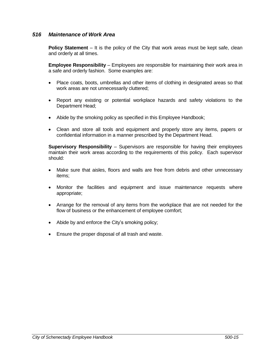#### *516 Maintenance of Work Area*

**Policy Statement** – It is the policy of the City that work areas must be kept safe, clean and orderly at all times.

**Employee Responsibility** – Employees are responsible for maintaining their work area in a safe and orderly fashion. Some examples are:

- Place coats, boots, umbrellas and other items of clothing in designated areas so that work areas are not unnecessarily cluttered;
- Report any existing or potential workplace hazards and safety violations to the Department Head;
- Abide by the smoking policy as specified in this Employee Handbook;
- Clean and store all tools and equipment and properly store any items, papers or confidential information in a manner prescribed by the Department Head.

**Supervisory Responsibility** – Supervisors are responsible for having their employees maintain their work areas according to the requirements of this policy. Each supervisor should:

- Make sure that aisles, floors and walls are free from debris and other unnecessary items;
- Monitor the facilities and equipment and issue maintenance requests where appropriate;
- Arrange for the removal of any items from the workplace that are not needed for the flow of business or the enhancement of employee comfort;
- Abide by and enforce the City's smoking policy;
- Ensure the proper disposal of all trash and waste.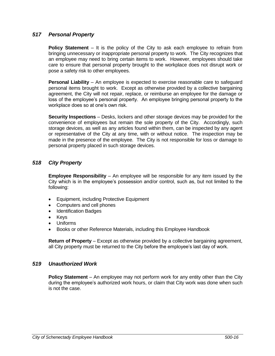#### *517 Personal Property*

**Policy Statement** – It is the policy of the City to ask each employee to refrain from bringing unnecessary or inappropriate personal property to work. The City recognizes that an employee may need to bring certain items to work. However, employees should take care to ensure that personal property brought to the workplace does not disrupt work or pose a safety risk to other employees.

**Personal Liability** – An employee is expected to exercise reasonable care to safeguard personal items brought to work. Except as otherwise provided by a collective bargaining agreement, the City will not repair, replace, or reimburse an employee for the damage or loss of the employee's personal property. An employee bringing personal property to the workplace does so at one's own risk.

**Security Inspections** – Desks, lockers and other storage devices may be provided for the convenience of employees but remain the sole property of the City. Accordingly, such storage devices, as well as any articles found within them, can be inspected by any agent or representative of the City at any time, with or without notice. The inspection may be made in the presence of the employee. The City is not responsible for loss or damage to personal property placed in such storage devices.

#### *518 City Property*

**Employee Responsibility** – An employee will be responsible for any item issued by the City which is in the employee's possession and/or control, such as, but not limited to the following:

- Equipment, including Protective Equipment
- Computers and cell phones
- Identification Badges
- Keys
- Uniforms
- Books or other Reference Materials, including this Employee Handbook

**Return of Property** – Except as otherwise provided by a collective bargaining agreement, all City property must be returned to the City before the employee's last day of work.

#### *519 Unauthorized Work*

**Policy Statement** – An employee may not perform work for any entity other than the City during the employee's authorized work hours, or claim that City work was done when such is not the case.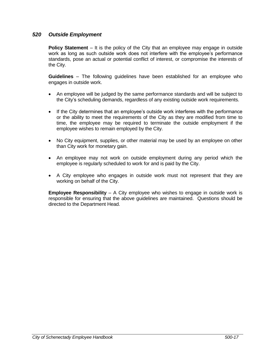#### *520 Outside Employment*

**Policy Statement** – It is the policy of the City that an employee may engage in outside work as long as such outside work does not interfere with the employee's performance standards, pose an actual or potential conflict of interest, or compromise the interests of the City.

**Guidelines** – The following guidelines have been established for an employee who engages in outside work.

- An employee will be judged by the same performance standards and will be subject to the City's scheduling demands, regardless of any existing outside work requirements.
- If the City determines that an employee's outside work interferes with the performance or the ability to meet the requirements of the City as they are modified from time to time, the employee may be required to terminate the outside employment if the employee wishes to remain employed by the City.
- No City equipment, supplies, or other material may be used by an employee on other than City work for monetary gain.
- An employee may not work on outside employment during any period which the employee is regularly scheduled to work for and is paid by the City.
- A City employee who engages in outside work must not represent that they are working on behalf of the City.

**Employee Responsibility** – A City employee who wishes to engage in outside work is responsible for ensuring that the above guidelines are maintained. Questions should be directed to the Department Head.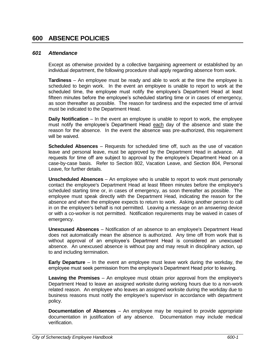#### *601 Attendance*

Except as otherwise provided by a collective bargaining agreement or established by an individual department, the following procedure shall apply regarding absence from work.

**Tardiness** – An employee must be ready and able to work at the time the employee is scheduled to begin work. In the event an employee is unable to report to work at the scheduled time, the employee must notify the employee's Department Head at least fifteen minutes before the employee's scheduled starting time or in cases of emergency, as soon thereafter as possible. The reason for tardiness and the expected time of arrival must be indicated to the Department Head.

**Daily Notification** – In the event an employee is unable to report to work, the employee must notify the employee's Department Head each day of the absence and state the reason for the absence. In the event the absence was pre-authorized, this requirement will be waived.

**Scheduled Absences** *–* Requests for scheduled time off, such as the use of vacation leave and personal leave, must be approved by the Department Head in advance. All requests for time off are subject to approval by the employee's Department Head on a case-by-case basis. Refer to Section 802, Vacation Leave, and Section 804, Personal Leave, for further details.

**Unscheduled Absences** – An employee who is unable to report to work must personally contact the employee's Department Head at least fifteen minutes before the employee's scheduled starting time or, in cases of emergency, as soon thereafter as possible. The employee must speak directly with the Department Head, indicating the reason for the absence and when the employee expects to return to work. Asking another person to call in on the employee's behalf is not permitted. Leaving a message on an answering device or with a co-worker is not permitted. Notification requirements may be waived in cases of emergency.

**Unexcused Absences** – Notification of an absence to an employee's Department Head does not automatically mean the absence is authorized. Any time off from work that is without approval of an employee's Department Head is considered an unexcused absence. An unexcused absence is without pay and may result in disciplinary action, up to and including termination.

**Early Departure** – In the event an employee must leave work during the workday, the employee must seek permission from the employee's Department Head prior to leaving.

**Leaving the Premises** – An employee must obtain prior approval from the employee's Department Head to leave an assigned worksite during working hours due to a non-work related reason. An employee who leaves an assigned worksite during the workday due to business reasons must notify the employee's supervisor in accordance with department policy.

**Documentation of Absences** – An employee may be required to provide appropriate documentation in justification of any absence. Documentation may include medical verification.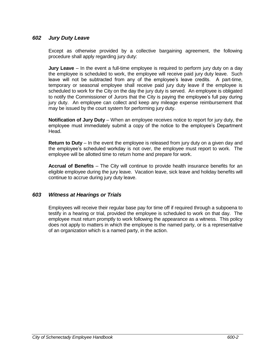#### *602 Jury Duty Leave*

Except as otherwise provided by a collective bargaining agreement, the following procedure shall apply regarding jury duty:

**Jury Leave** – In the event a full-time employee is required to perform jury duty on a day the employee is scheduled to work, the employee will receive paid jury duty leave. Such leave will not be subtracted from any of the employee's leave credits. A part-time, temporary or seasonal employee shall receive paid jury duty leave if the employee is scheduled to work for the City on the day the jury duty is served. An employee is obligated to notify the Commissioner of Jurors that the City is paying the employee's full pay during jury duty. An employee can collect and keep any mileage expense reimbursement that may be issued by the court system for performing jury duty.

**Notification of Jury Duty** – When an employee receives notice to report for jury duty, the employee must immediately submit a copy of the notice to the employee's Department Head.

**Return to Duty** – In the event the employee is released from jury duty on a given day and the employee's scheduled workday is not over, the employee must report to work. The employee will be allotted time to return home and prepare for work.

**Accrual of Benefits** – The City will continue to provide health insurance benefits for an eligible employee during the jury leave. Vacation leave, sick leave and holiday benefits will continue to accrue during jury duty leave.

#### *603 Witness at Hearings or Trials*

Employees will receive their regular base pay for time off if required through a subpoena to testify in a hearing or trial, provided the employee is scheduled to work on that day. The employee must return promptly to work following the appearance as a witness. This policy does not apply to matters in which the employee is the named party, or is a representative of an organization which is a named party, in the action.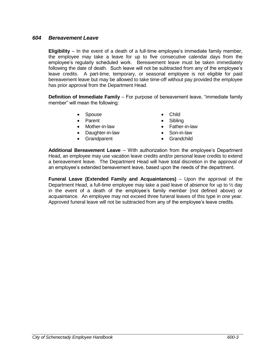#### *604 Bereavement Leave*

**Eligibility** – In the event of a death of a full-time employee's immediate family member, the employee may take a leave for up to five consecutive calendar days from the employee's regularly scheduled work. Bereavement leave must be taken immediately following the date of death. Such leave will not be subtracted from any of the employee's leave credits. A part-time, temporary, or seasonal employee is not eligible for paid bereavement leave but may be allowed to take time-off without pay provided the employee has prior approval from the Department Head.

**Definition of Immediate Family** – For purpose of bereavement leave, "immediate family member" will mean the following:

- Spouse **•** Child
- Parent Sibling
- Mother-in-law Father-in-law
- Daughter-in-law Son-in-law
- Grandparent Grandchild
- 
- 
- 
- -

**Additional Bereavement Leave** – With authorization from the employee's Department Head, an employee may use vacation leave credits and/or personal leave credits to extend a bereavement leave. The Department Head will have total discretion in the approval of an employee's extended bereavement leave, based upon the needs of the department.

**Funeral Leave (Extended Family and Acquaintances)** – Upon the approval of the Department Head, a full-time employee may take a paid leave of absence for up to  $\frac{1}{2}$  day in the event of a death of the employee's family member (not defined above) or acquaintance. An employee may not exceed three funeral leaves of this type in one year. Approved funeral leave will not be subtracted from any of the employee's leave credits.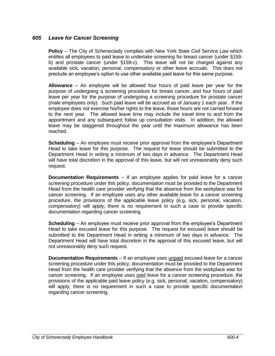#### *605 Leave for Cancer Screening*

**Policy** – The City of Schenectady complies with New York State Civil Service Law which entitles all employees to paid leave to undertake screening for breast cancer (under §159 b) and prostate cancer (under §159-c). This leave will not be charged against any available sick, vacation, personal, compensatory or other leave accruals. This does not preclude an employee's option to use other available paid leave for this same purpose.

**Allowance** – An employee will be allowed four hours of paid leave per year for the purpose of undergoing a screening procedure for breast cancer, and four hours of paid leave per year for the purpose of undergoing a screening procedure for prostate cancer (male employees only). Such paid leave will be accrued as of January 1 each year. If the employee does not exercise his/her rights to the leave, those hours are not carried forward to the next year. The allowed leave time may include the travel time to and from the appointment and any subsequent follow up consultation visits. In addition, the allowed leave may be staggered throughout the year until the maximum allowance has been reached.

**Scheduling** – An employee must receive prior approval from the employee's Department Head to take leave for this purpose. The request for leave should be submitted to the Department Head in writing a minimum of two days in advance. The Department Head will have total discretion in the approval of this leave, but will not unreasonably deny such request.

**Documentation Requirements** – If an employee applies for paid leave for a cancer screening procedure under this policy, documentation must be provided to the Department Head from the health care provider verifying that the absence from the workplace was for cancer screening. If an employee uses any other available leave for a cancer screening procedure, the provisions of the applicable leave policy (e.g. sick, personal, vacation, compensatory) will apply; there is no requirement in such a case to provide specific documentation regarding cancer screening.

**Scheduling** – An employee must receive prior approval from the employee's Department Head to take excused leave for this purpose. The request for excused leave should be submitted to the Department Head in writing a minimum of two days in advance. The Department Head will have total discretion in the approval of this excused leave, but will not unreasonably deny such request.

**Documentation Requirements** – If an employee uses unpaid excused leave for a cancer screening procedure under this policy, documentation must be provided to the Department Head from the health care provider verifying that the absence from the workplace was for cancer screening. If an employee uses paid leave for a cancer screening procedure, the provisions of the applicable paid leave policy (e.g. sick, personal, vacation, compensatory) will apply; there is no requirement in such a case to provide specific documentation regarding cancer screening.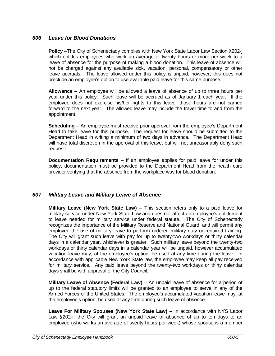#### *606 Leave for Blood Donations*

**Policy** –The City of Schenectady complies with New York State Labor Law Section §202-j which entitles employees who work an average of twenty hours or more per week to a leave of absence for the purpose of making a blood donation. This leave of absence will not be charged against any available sick, vacation, personal, compensatory or other leave accruals. The leave allowed under this policy is unpaid, however, this does not preclude an employee's option to use available paid leave for this same purpose.

**Allowance** – An employee will be allowed a leave of absence of up to three hours per year under this policy. Such leave will be accrued as of January 1 each year. If the employee does not exercise his/her rights to this leave, those hours are not carried forward to the next year. The allowed leave may include the travel time to and from the appointment.

**Scheduling** – An employee must receive prior approval from the employee's Department Head to take leave for this purpose. The request for leave should be submitted to the Department Head in writing a minimum of two days in advance. The Department Head will have total discretion in the approval of this leave, but will not unreasonably deny such request.

**Documentation Requirements** – If an employee applies for paid leave for under this policy, documentation must be provided to the Department Head from the health care provider verifying that the absence from the workplace was for blood donation.

#### *607 Military Leave and Military Leave of Absence*

**Military Leave (New York State Law)** – This section refers only to a paid leave for military service under New York State Law and does not affect an employee's entitlement to leave needed for military service under federal statute. The City of Schenectady recognizes the importance of the Military Reserve and National Guard, and will permit any employee the use of military leave to perform ordered military duty or required training. The City will grant such leave with pay for up to twenty-two workdays or thirty calendar days in a calendar year, whichever is greater. Such military leave beyond the twenty-two workdays or thirty calendar days in a calendar year will be unpaid, however accumulated vacation leave may, at the employee's option, be used at any time during the leave. In accordance with applicable New York State law, the employee may keep all pay received for military service. Any paid leave beyond the twenty-two workdays or thirty calendar days shall be with approval of the City Council.

**Military Leave of Absence (Federal Law)** – An unpaid leave of absence for a period of up to the federal statutory limits will be granted to an employee to serve in any of the Armed Forces of the United States. The employee's accumulated vacation leave may, at the employee's option, be used at any time during such leave of absence.

**Leave For Military Spouses (New York State Law)** – In accordance with NYS Labor Law §202-i, the City will grant an unpaid leave of absence of up to ten days to an employee (who works an average of twenty hours per week) whose spouse is a member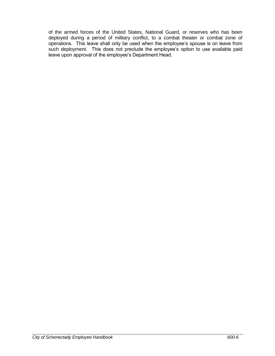of the armed forces of the United States, National Guard, or reserves who has been deployed during a period of military conflict, to a combat theater or combat zone of operations. This leave shall only be used when the employee's spouse is on leave from such deployment. This does not preclude the employee's option to use available paid leave upon approval of the employee's Department Head.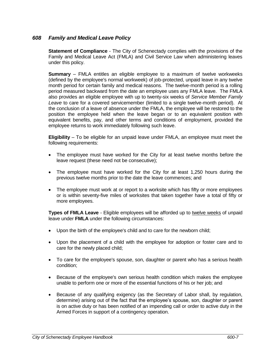#### *608 Family and Medical Leave Policy*

**Statement of Compliance** - The City of Schenectady complies with the provisions of the Family and Medical Leave Act (FMLA) and Civil Service Law when administering leaves under this policy.

**Summary** – FMLA entitles an eligible employee to a maximum of twelve workweeks (defined by the employee's normal workweek) of job-protected, unpaid leave in any twelve month period for certain family and medical reasons. The twelve-month period is a rolling period measured backward from the date an employee uses any FMLA leave. The FMLA also provides an eligible employee with up to twenty-six weeks of *Service Member Family Leave* to care for a covered servicemember (limited to a single twelve-month period). At the conclusion of a leave of absence under the FMLA, the employee will be restored to the position the employee held when the leave began or to an equivalent position with equivalent benefits, pay, and other terms and conditions of employment, provided the employee returns to work immediately following such leave.

**Eligibility** – To be eligible for an unpaid leave under FMLA, an employee must meet the following requirements:

- The employee must have worked for the City for at least twelve months before the leave request (these need not be consecutive);
- The employee must have worked for the City for at least 1,250 hours during the previous twelve months prior to the date the leave commences; and
- The employee must work at or report to a worksite which has fifty or more employees or is within seventy-five miles of worksites that taken together have a total of fifty or more employees.

**Types of FMLA Leave** - Eligible employees will be afforded up to twelve weeks of unpaid leave under **FMLA** under the following circumstances:

- Upon the birth of the employee's child and to care for the newborn child;
- Upon the placement of a child with the employee for adoption or foster care and to care for the newly placed child;
- To care for the employee's spouse, son, daughter or parent who has a serious health condition;
- Because of the employee's own serious health condition which makes the employee unable to perform one or more of the essential functions of his or her job; and
- Because of any qualifying exigency (as the Secretary of Labor shall, by regulation, determine) arising out of the fact that the employee's spouse, son, daughter or parent is on active duty or has been notified of an impending call or order to active duty in the Armed Forces in support of a contingency operation.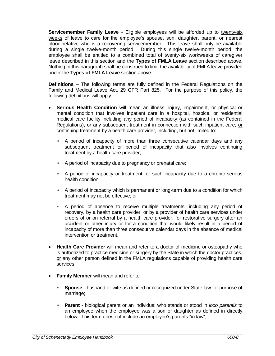**Servicemember Family Leave** - Eligible employees will be afforded up to twenty-six weeks of leave to care for the employee's spouse, son, daughter, parent, or nearest blood relative who is a recovering servicemember. This leave shall only be available during a single twelve-month period. During this single twelve-month period, the employee shall be entitled to a combined total of twenty-six workweeks of caregiver leave described in this section and the **Types of FMLA Leave** section described above. Nothing in this paragraph shall be construed to limit the availability of FMLA leave provided under the **Types of FMLA Leave** section above.

**Definitions** – The following terms are fully defined in the Federal Regulations on the Family and Medical Leave Act, 29 CFR Part 825. For the purpose of this policy, the following definitions will apply:

- **Serious Health Condition** will mean an illness, injury, impairment, or physical or mental condition that involves inpatient care in a hospital, hospice, or residential medical care facility including any period of incapacity (as contained in the Federal Regulations), or any subsequent treatment in connection with such inpatient care; or continuing treatment by a health care provider, including, but not limited to:
	- A period of incapacity of more than three consecutive calendar days and any subsequent treatment or period of incapacity that also involves continuing treatment by a health care provider;
	- A period of incapacity due to pregnancy or prenatal care;
	- A period of incapacity or treatment for such incapacity due to a chronic serious health condition;
	- A period of incapacity which is permanent or long-term due to a condition for which treatment may not be effective; or
	- A period of absence to receive multiple treatments, including any period of recovery, by a health care provider, or by a provider of health care services under orders of or on referral by a health care provider, for restorative surgery after an accident or other injury or for a condition that would likely result in a period of incapacity of more than three consecutive calendar days in the absence of medical intervention or treatment.
- **Health Care Provider** will mean and refer to a doctor of medicine or osteopathy who is authorized to practice medicine or surgery by the State in which the doctor practices; or any other person defined in the FMLA regulations capable of providing health care services.
- **Family Member** will mean and refer to:
	- **Spouse** husband or wife as defined or recognized under State law for purpose of marriage;
	- **Parent** biological parent or an individual who stands or stood in *loco parentis* to an employee when the employee was a son or daughter as defined in directly below. This term does not include an employee's parents "in law";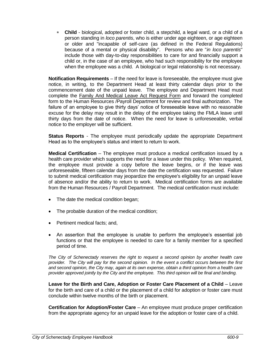**Child** - biological, adopted or foster child, a stepchild, a legal ward, or a child of a person standing in *loco parentis*, who is either under age eighteen, or age eighteen or older and "incapable of self-care (as defined in the Federal Regulations) because of a mental or physical disability". Persons who are "*in loco parentis*" include those with day-to-day responsibilities to care for and financially support a child or, in the case of an employee, who had such responsibility for the employee when the employee was a child. A biological or legal relationship is not necessary.

**Notification Requirements** – If the need for leave is foreseeable, the employee must give notice, in writing, to the Department Head at least thirty calendar days prior to the commencement date of the unpaid leave. The employee and Department Head must complete the Family And Medical Leave Act Request Form and forward the completed form to the Human Resources /Payroll Department for review and final authorization. The failure of an employee to give thirty days' notice of foreseeable leave with no reasonable excuse for the delay may result in the delay of the employee taking the FMLA leave until thirty days from the date of notice. When the need for leave is unforeseeable, verbal notice to the employer will be sufficient.

**Status Reports** - The employee must periodically update the appropriate Department Head as to the employee's status and intent to return to work.

**Medical Certification** – The employee must produce a medical certification issued by a health care provider which supports the need for a leave under this policy. When required, the employee must provide a copy before the leave begins, or if the leave was unforeseeable, fifteen calendar days from the date the certification was requested. Failure to submit medical certification may jeopardize the employee's eligibility for an unpaid leave of absence and/or the ability to return to work. Medical certification forms are available from the Human Resources / Payroll Department. The medical certification must include:

- The date the medical condition began;
- The probable duration of the medical condition;
- Pertinent medical facts; and,
- An assertion that the employee is unable to perform the employee's essential job functions or that the employee is needed to care for a family member for a specified period of time.

*The City of Schenectady reserves the right to request a second opinion by another health care provider. The City will pay for the second opinion. In the event a conflict occurs between the first and second opinion, the City may, again at its own expense, obtain a third opinion from a health care provider approved jointly by the City and the employee. This third opinion will be final and binding.*

**Leave for the Birth and Care, Adoption or Foster Care Placement of a Child** – Leave for the birth and care of a child or the placement of a child for adoption or foster care must conclude within twelve months of the birth or placement.

**Certification for Adoption/Foster Care** – An employee must produce proper certification from the appropriate agency for an unpaid leave for the adoption or foster care of a child.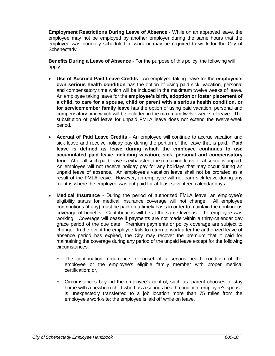**Employment Restrictions During Leave of Absence** - While on an approved leave, the employee may not be employed by another employer during the same hours that the employee was normally scheduled to work or may be required to work for the City of Schenectady.

**Benefits During a Leave of Absence** - For the purpose of this policy, the following will apply:

- **Use of Accrued Paid Leave Credits** An employee taking leave for the **employee's own serious health condition** has the option of using paid sick, vacation, personal and compensatory time which will be included in the maximum twelve weeks of leave. An employee taking leave for the **employee's birth, adoption or foster placement of a child, to care for a spouse, child or parent with a serious health condition, or for servicemember family leave** has the option of using paid vacation, personal and compensatory time which will be included in the maximum twelve weeks of leave. The substitution of paid leave for unpaid FMLA leave does not extend the twelve-week period.
- **Accrual of Paid Leave Credits** An employee will continue to accrue vacation and sick leave and receive holiday pay during the portion of the leave that is paid. **Paid leave is defined as leave during which the employee continues to use accumulated paid leave including vacation, sick, personal and compensatory time**. After all such paid leave is exhausted, the remaining leave of absence is unpaid. An employee will not receive holiday pay for any holidays that may occur during an unpaid leave of absence. An employee's vacation leave shall not be prorated as a result of the FMLA leave. However, an employee will not earn sick leave during any months where the employee was not paid for at least seventeen calendar days.
- **Medical Insurance** During the period of authorized FMLA leave, an employee's eligibility status for medical insurance coverage will not change. All employee contributions (if any) must be paid on a timely basis in order to maintain the continuous coverage of benefits. Contributions will be at the same level as if the employee was working. Coverage will cease if payments are not made within a thirty-calendar day grace period of the due date. Premium payments or policy coverage are subject to change. In the event the employee fails to return to work after the authorized leave of absence period has expired, the City may recover the premium that it paid for maintaining the coverage during any period of the unpaid leave except for the following circumstances:
	- The continuation, recurrence, or onset of a serious health condition of the employee or the employee's eligible family member with proper medical certification; or,
	- Circumstances beyond the employee's control, such as: parent chooses to stay home with a newborn child who has a serious health condition; employee's spouse is unexpectedly transferred to a job location more than 75 miles from the employee's work-site; the employee is laid off while on leave.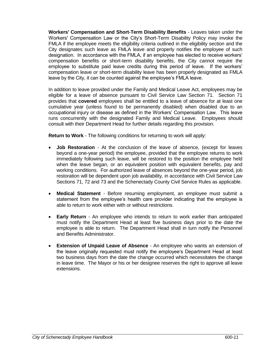**Workers' Compensation and Short-Term Disability Benefits** - Leaves taken under the Workers' Compensation Law or the City's Short-Term Disability Policy may invoke the FMLA if the employee meets the eligibility criteria outlined in the eligibility section and the City designates such leave as FMLA leave and properly notifies the employee of such designation. In accordance with the FMLA, if an employee has elected to receive workers' compensation benefits or short-term disability benefits, the City cannot require the employee to substitute paid leave credits during this period of leave. If the workers' compensation leave or short-term disability leave has been properly designated as FMLA leave by the City, it can be counted against the employee's FMLA leave.

In addition to leave provided under the Family and Medical Leave Act, employees may be eligible for a leave of absence pursuant to Civil Service Law Section 71. Section 71 provides that **covered** employees shall be entitled to a leave of absence for at least one cumulative year (unless found to be permanently disabled) when disabled due to an occupational injury or disease as defined in the Workers' Compensation Law. This leave runs concurrently with the designated Family and Medical Leave. Employees should consult with their Department Head for further details regarding this provision.

**Return to Work** - The following conditions for returning to work will apply:

- **Job Restoration** At the conclusion of the leave of absence, (except for leaves beyond a one-year period) the employee, provided that the employee returns to work immediately following such leave, will be restored to the position the employee held when the leave began, or an equivalent position with equivalent benefits, pay and working conditions. For authorized leave of absences beyond the one-year period, job restoration will be dependent upon job availability, in accordance with Civil Service Law Sections 71, 72 and 73 and the Schenectady County Civil Service Rules as applicable.
- **Medical Statement** Before resuming employment, an employee must submit a statement from the employee's health care provider indicating that the employee is able to return to work either with or without restrictions.
- **Early Return** An employee who intends to return to work earlier than anticipated must notify the Department Head at least five business days prior to the date the employee is able to return. The Department Head shall in turn notify the Personnel and Benefits Administrator.
- **Extension of Unpaid Leave of Absence** An employee who wants an extension of the leave originally requested must notify the employee's Department Head at least two business days from the date the change occurred which necessitates the change in leave time. The Mayor or his or her designee reserves the right to approve all leave extensions.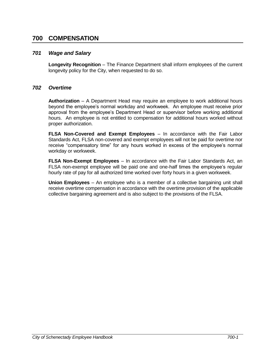# **700 COMPENSATION**

#### *701 Wage and Salary*

**Longevity Recognition** – The Finance Department shall inform employees of the current longevity policy for the City, when requested to do so.

#### *702 Overtime*

**Authorization** – A Department Head may require an employee to work additional hours beyond the employee's normal workday and workweek. An employee must receive prior approval from the employee's Department Head or supervisor before working additional hours. An employee is not entitled to compensation for additional hours worked without proper authorization.

**FLSA Non-Covered and Exempt Employees** – In accordance with the Fair Labor Standards Act, FLSA non-covered and exempt employees will not be paid for overtime nor receive "compensatory time" for any hours worked in excess of the employee's normal workday or workweek.

**FLSA Non-Exempt Employees** – In accordance with the Fair Labor Standards Act, an FLSA non-exempt employee will be paid one and one-half times the employee's regular hourly rate of pay for all authorized time worked over forty hours in a given workweek.

**Union Employees** – An employee who is a member of a collective bargaining unit shall receive overtime compensation in accordance with the overtime provision of the applicable collective bargaining agreement and is also subject to the provisions of the FLSA.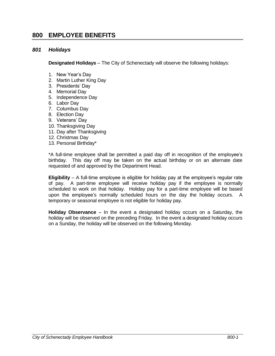# **800 EMPLOYEE BENEFITS**

#### *801 Holidays*

**Designated Holidays** – The City of Schenectady will observe the following holidays:

- 1. New Year's Day
- 2. Martin Luther King Day
- 3. Presidents' Day
- 4. Memorial Day
- 5. Independence Day
- 6. Labor Day
- 7. Columbus Day
- 8. Election Day
- 9. Veterans' Day
- 10. Thanksgiving Day
- 11. Day after Thanksgiving
- 12. Christmas Day
- 13. Personal Birthday\*

\*A full-time employee shall be permitted a paid day off in recognition of the employee's birthday. This day off may be taken on the actual birthday or on an alternate date requested of and approved by the Department Head.

**Eligibility** – A full-time employee is eligible for holiday pay at the employee's regular rate of pay. A part-time employee will receive holiday pay if the employee is normally scheduled to work on that holiday. Holiday pay for a part-time employee will be based upon the employee's normally scheduled hours on the day the holiday occurs. A temporary or seasonal employee is not eligible for holiday pay.

**Holiday Observance** – In the event a designated holiday occurs on a Saturday, the holiday will be observed on the preceding Friday. In the event a designated holiday occurs on a Sunday, the holiday will be observed on the following Monday.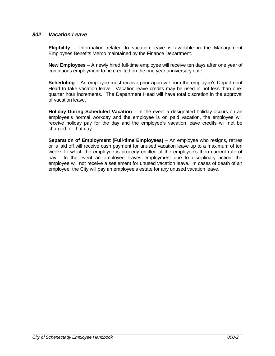#### *802 Vacation Leave*

**Eligibility** – Information related to vacation leave is available in the Management Employees Benefits Memo maintained by the Finance Department.

**New Employees** – A newly hired full-time employee will receive ten days after one year of continuous employment to be credited on the one year anniversary date.

**Scheduling** – An employee must receive prior approval from the employee's Department Head to take vacation leave. Vacation leave credits may be used in not less than onequarter hour increments. The Department Head will have total discretion in the approval of vacation leave.

**Holiday During Scheduled Vacation** – In the event a designated holiday occurs on an employee's normal workday and the employee is on paid vacation, the employee will receive holiday pay for the day and the employee's vacation leave credits will not be charged for that day.

**Separation of Employment (Full-time Employees)** – An employee who resigns, retires or is laid off will receive cash payment for unused vacation leave up to a maximum of ten weeks to which the employee is properly entitled at the employee's then current rate of pay. In the event an employee leaves employment due to disciplinary action, the employee will not receive a settlement for unused vacation leave. In cases of death of an employee, the City will pay an employee's estate for any unused vacation leave.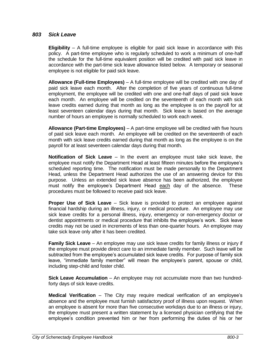#### *803 Sick Leave*

**Eligibility** – A full-time employee is eligible for paid sick leave in accordance with this policy. A part-time employee who is regularly scheduled to work a minimum of one-half the schedule for the full-time equivalent position will be credited with paid sick leave in accordance with the part-time sick leave allowance listed below. A temporary or seasonal employee is not eligible for paid sick leave.

**Allowance (Full-time Employees)** – A full-time employee will be credited with one day of paid sick leave each month. After the completion of five years of continuous full-time employment, the employee will be credited with one and one-half days of paid sick leave each month. An employee will be credited on the seventeenth of each month with sick leave credits earned during that month as long as the employee is on the payroll for at least seventeen calendar days during that month. Sick leave is based on the average number of hours an employee is normally scheduled to work each week.

**Allowance (Part-time Employees)** – A part-time employee will be credited with five hours of paid sick leave each month. An employee will be credited on the seventeenth of each month with sick leave credits earned during that month as long as the employee is on the payroll for at least seventeen calendar days during that month.

**Notification of Sick Leave** – In the event an employee must take sick leave, the employee must notify the Department Head at least fifteen minutes before the employee's scheduled reporting time. The notification must be made personally to the Department Head, unless the Department Head authorizes the use of an answering device for this purpose. Unless an extended sick leave absence has been authorized, the employee must notify the employee's Department Head each day of the absence. These procedures must be followed to receive paid sick leave.

**Proper Use of Sick Leave** – Sick leave is provided to protect an employee against financial hardship during an illness, injury, or medical procedure. An employee may use sick leave credits for a personal illness, injury, emergency or non-emergency doctor or dentist appointments or medical procedure that inhibits the employee's work. Sick leave credits may not be used in increments of less than one-quarter hours. An employee may take sick leave only after it has been credited.

**Family Sick Leave** – An employee may use sick leave credits for family illness or injury if the employee must provide direct care to an immediate family member. Such leave will be subtracted from the employee's accumulated sick leave credits. For purpose of family sick leave, "immediate family member" will mean the employee's parent, spouse or child, including step-child and foster child.

**Sick Leave Accumulation** – An employee may not accumulate more than two hundredforty days of sick leave credits.

**Medical Verification** – The City may require medical verification of an employee's absence and the employee must furnish satisfactory proof of illness upon request. When an employee is absent for more than five consecutive workdays due to an illness or injury, the employee must present a written statement by a licensed physician certifying that the employee's condition prevented him or her from performing the duties of his or her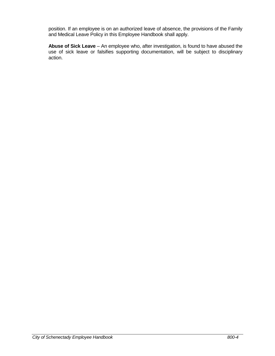position. If an employee is on an authorized leave of absence, the provisions of the Family and Medical Leave Policy in this Employee Handbook shall apply.

**Abuse of Sick Leave** – An employee who, after investigation, is found to have abused the use of sick leave or falsifies supporting documentation, will be subject to disciplinary action.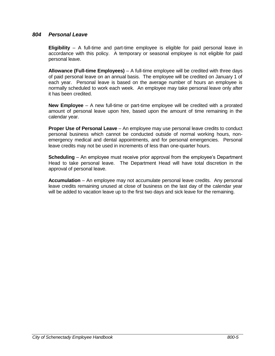#### *804 Personal Leave*

**Eligibility** – A full-time and part-time employee is eligible for paid personal leave in accordance with this policy. A temporary or seasonal employee is not eligible for paid personal leave.

**Allowance (Full-time Employees)** – A full-time employee will be credited with three days of paid personal leave on an annual basis. The employee will be credited on January 1 of each year. Personal leave is based on the average number of hours an employee is normally scheduled to work each week. An employee may take personal leave only after it has been credited.

**New Employee** – A new full-time or part-time employee will be credited with a prorated amount of personal leave upon hire, based upon the amount of time remaining in the calendar year.

**Proper Use of Personal Leave** – An employee may use personal leave credits to conduct personal business which cannot be conducted outside of normal working hours, nonemergency medical and dental appointments, and for personal emergencies. Personal leave credits may not be used in increments of less than one-quarter hours.

**Scheduling** – An employee must receive prior approval from the employee's Department Head to take personal leave. The Department Head will have total discretion in the approval of personal leave.

**Accumulation** – An employee may not accumulate personal leave credits. Any personal leave credits remaining unused at close of business on the last day of the calendar year will be added to vacation leave up to the first two days and sick leave for the remaining.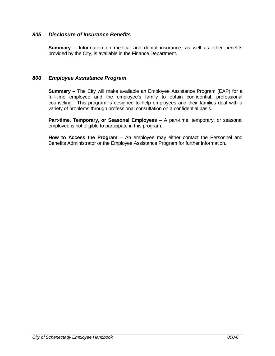#### *805 Disclosure of Insurance Benefits*

**Summary** – Information on medical and dental insurance, as well as other benefits provided by the City, is available in the Finance Department.

#### *806 Employee Assistance Program*

**Summary** – The City will make available an Employee Assistance Program (EAP) for a full-time employee and the employee's family to obtain confidential, professional counseling. This program is designed to help employees and their families deal with a variety of problems through professional consultation on a confidential basis.

**Part-time, Temporary, or Seasonal Employees** – A part-time, temporary, or seasonal employee is not eligible to participate in this program.

**How to Access the Program** – An employee may either contact the Personnel and Benefits Administrator or the Employee Assistance Program for further information.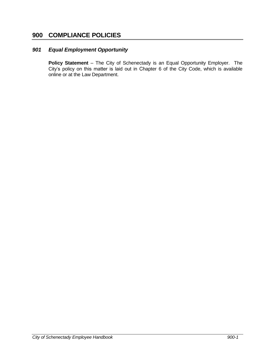# **900 COMPLIANCE POLICIES**

#### *901 Equal Employment Opportunity*

**Policy Statement** – The City of Schenectady is an Equal Opportunity Employer. The City's policy on this matter is laid out in Chapter 6 of the City Code, which is available online or at the Law Department.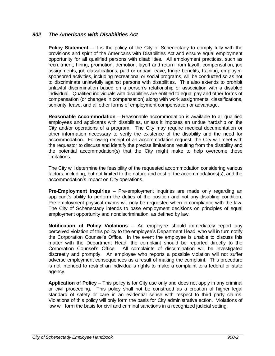#### *902 The Americans with Disabilities Act*

**Policy Statement** – It is the policy of the City of Schenectady to comply fully with the provisions and spirit of the Americans with Disabilities Act and ensure equal employment opportunity for all qualified persons with disabilities. All employment practices, such as recruitment, hiring, promotion, demotion, layoff and return from layoff, compensation, job assignments, job classifications, paid or unpaid leave, fringe benefits, training, employersponsored activities, including recreational or social programs, will be conducted so as not to discriminate unlawfully against persons with disabilities. This also extends to prohibit unlawful discrimination based on a person's relationship or association with a disabled individual. Qualified individuals with disabilities are entitled to equal pay and other forms of compensation (or changes in compensation) along with work assignments, classifications, seniority, leave, and all other forms of employment compensation or advantage.

**Reasonable Accommodation** – Reasonable accommodation is available to all qualified employees and applicants with disabilities, unless it imposes an undue hardship on the City and/or operations of a program. The City may require medical documentation or other information necessary to verify the existence of the disability and the need for accommodation. Following receipt of an accommodation request, the City will meet with the requestor to discuss and identify the precise limitations resulting from the disability and the potential accommodation(s) that the City might make to help overcome those limitations.

The City will determine the feasibility of the requested accommodation considering various factors, including, but not limited to the nature and cost of the accommodations(s), and the accommodation's impact on City operations.

**Pre-Employment Inquiries** – Pre-employment inquiries are made only regarding an applicant's ability to perform the duties of the position and not any disabling condition. Pre-employment physical exams will only be requested when in compliance with the law. The City of Schenectady intends to base employment decisions on principles of equal employment opportunity and nondiscrimination, as defined by law.

**Notification of Policy Violations** – An employee should immediately report any perceived violation of this policy to the employee's Department Head, who will in turn notify the Corporation Counsel's Office. In the event the employee is unable to discuss this matter with the Department Head, the complaint should be reported directly to the Corporation Counsel's Office. All complaints of discrimination will be investigated discreetly and promptly. An employee who reports a possible violation will not suffer adverse employment consequences as a result of making the complaint. This procedure is not intended to restrict an individual's rights to make a complaint to a federal or state agency.

**Application of Policy** – This policy is for City use only and does not apply in any criminal or civil proceeding. This policy shall not be construed as a creation of higher legal standard of safety or care in an evidential sense with respect to third party claims. Violations of this policy will only form the basis for City administrative action. Violations of law will form the basis for civil and criminal sanctions in a recognized judicial setting.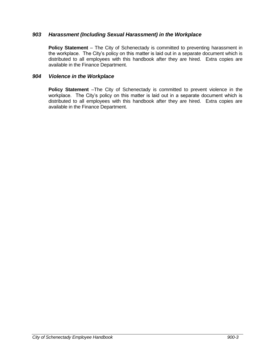#### *903 Harassment (Including Sexual Harassment) in the Workplace*

**Policy Statement** – The City of Schenectady is committed to preventing harassment in the workplace. The City's policy on this matter is laid out in a separate document which is distributed to all employees with this handbook after they are hired. Extra copies are available in the Finance Department.

#### *904 Violence in the Workplace*

**Policy Statement** –The City of Schenectady is committed to prevent violence in the workplace. The City's policy on this matter is laid out in a separate document which is distributed to all employees with this handbook after they are hired. Extra copies are available in the Finance Department.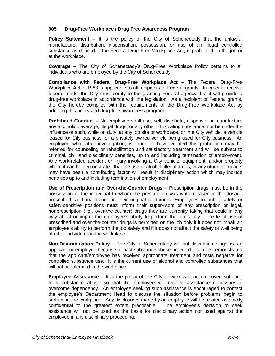#### **905 Drug-Free Workplace / Drug Free Awareness Program**

**Policy Statement** – It is the policy of the City of Schenectady that the unlawful manufacture, distribution, dispensation, possession, or use of an illegal controlled substance as defined in the Federal Drug-Free Workplace Act, is prohibited on the job or at the workplace.

**Coverage** – The City of Schenectady's Drug-Free Workplace Policy pertains to all individuals who are employed by the City of Schenectady.

**Compliance with Federal Drug-Free Workplace Act** – The Federal Drug-Free Workplace Act of 1988 is applicable to all recipients of Federal grants. In order to receive federal funds, the City must certify to the granting Federal agency that it will provide a drug-free workplace in accordance with the legislation. As a recipient of Federal grants, the City hereby complies with the requirements of the Drug-Free Workplace Act by adopting this policy and drug-free awareness program:

**Prohibited Conduct** – No employee shall use, sell, distribute, dispense, or manufacture any alcoholic beverage, illegal drugs, or any other intoxicating substance, nor be under the influence of such, while on duty, at any job site or workplace, or in a City vehicle, a vehicle leased for City business, or a privately owned vehicle being used for City business. An employee who, after investigation, is found to have violated this prohibition may be referred for counseling or rehabilitation and satisfactory treatment and will be subject to criminal, civil and disciplinary penalties, up to and including termination of employment. Any work-related accident or injury involving a City vehicle, equipment, and/or property where it can be demonstrated that the use of alcohol, illegal drugs, or any other intoxicants may have been a contributing factor will result in disciplinary action which may include penalties up to and including termination of employment.

**Use of Prescription and Over-the-Counter Drugs** – Prescription drugs must be in the possession of the individual to whom the prescription was written, taken in the dosage prescribed, and maintained in their original containers. Employees in public safety or safety-sensitive positions must inform their supervisors of any prescription or legal, nonprescription (i.e., over-the-counter) drugs they are currently taking that could in any way affect or impair the employee's ability to perform the job safely. The legal use of prescribed and over-the-counter drugs is permitted on the job only if it does not impair an employee's ability to perform the job safely and if it does not affect the safety or well being of other individuals in the workplace.

**Non-Discrimination Policy** – The City of Schenectady will not discriminate against an applicant or employee because of past substance abuse provided it can be demonstrated that the applicant/employee has received appropriate treatment and tests negative for controlled substance use. It is the current use of alcohol and controlled substances that will not be tolerated in the workplace.

**Employee Assistance** – It is the policy of the City to work with an employee suffering from substance abuse so that the employee will receive assistance necessary to overcome dependency. An employee seeking such assistance is encouraged to contact the employee's Department Head to discuss the situation before problems begin to surface in the workplace. Any disclosures made by an employee will be treated as strictly confidential to the greatest extent practicable. The employee's decision to seek assistance will not be used as the basis for disciplinary action nor used against the employee in any disciplinary proceeding.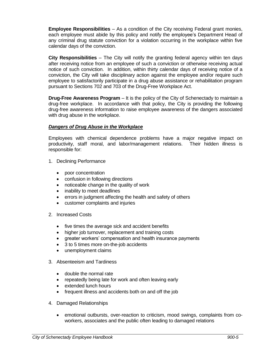**Employee Responsibilities** – As a condition of the City receiving Federal grant monies, each employee must abide by this policy and notify the employee's Department Head of any criminal drug statute conviction for a violation occurring in the workplace within five calendar days of the conviction.

**City Responsibilities** – The City will notify the granting federal agency within ten days after receiving notice from an employee of such a conviction or otherwise receiving actual notice of such conviction. In addition, within thirty calendar days of receiving notice of a conviction, the City will take disciplinary action against the employee and/or require such employee to satisfactorily participate in a drug abuse assistance or rehabilitation program pursuant to Sections 702 and 703 of the Drug-Free Workplace Act.

**Drug-Free Awareness Program** – It is the policy of the City of Schenectady to maintain a drug-free workplace. In accordance with that policy, the City is providing the following drug-free awareness information to raise employee awareness of the dangers associated with drug abuse in the workplace.

#### *Dangers of Drug Abuse in the Workplace*

Employees with chemical dependence problems have a major negative impact on productivity, staff moral, and labor/management relations. Their hidden illness is responsible for:

- 1. Declining Performance
	- poor concentration
	- confusion in following directions
	- noticeable change in the quality of work
	- inability to meet deadlines
	- errors in judgment affecting the health and safety of others
	- customer complaints and injuries
- 2. Increased Costs
	- five times the average sick and accident benefits
	- higher job turnover, replacement and training costs
	- greater workers' compensation and health insurance payments
	- 3 to 5 times more on-the-job accidents
	- unemployment claims
- 3. Absenteeism and Tardiness
	- double the normal rate
	- repeatedly being late for work and often leaving early
	- extended lunch hours
	- frequent illness and accidents both on and off the job
- 4. Damaged Relationships
	- emotional outbursts, over-reaction to criticism, mood swings, complaints from coworkers, associates and the public often leading to damaged relations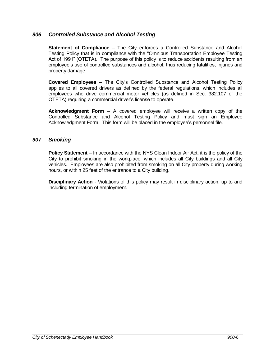#### *906 Controlled Substance and Alcohol Testing*

**Statement of Compliance** – The City enforces a Controlled Substance and Alcohol Testing Policy that is in compliance with the "Omnibus Transportation Employee Testing Act of 1991" (OTETA). The purpose of this policy is to reduce accidents resulting from an employee's use of controlled substances and alcohol, thus reducing fatalities, injuries and property damage.

**Covered Employees** – The City's Controlled Substance and Alcohol Testing Policy applies to all covered drivers as defined by the federal regulations, which includes all employees who drive commercial motor vehicles (as defined in Sec. 382.107 of the OTETA) requiring a commercial driver's license to operate.

**Acknowledgment Form** – A covered employee will receive a written copy of the Controlled Substance and Alcohol Testing Policy and must sign an Employee Acknowledgment Form. This form will be placed in the employee's personnel file.

#### *907 Smoking*

**Policy Statement** – In accordance with the NYS Clean Indoor Air Act, it is the policy of the City to prohibit smoking in the workplace, which includes all City buildings and all City vehicles. Employees are also prohibited from smoking on all City property during working hours, or within 25 feet of the entrance to a City building.

**Disciplinary Action** - Violations of this policy may result in disciplinary action, up to and including termination of employment.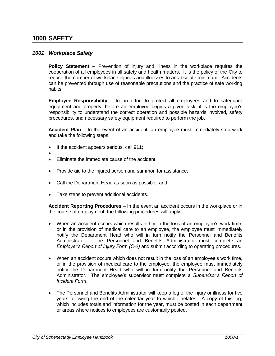# **1000 SAFETY**

 $\bullet$ 

#### *1001 Workplace Safety*

**Policy Statement** – Prevention of injury and illness in the workplace requires the cooperation of all employees in all safety and health matters. It is the policy of the City to reduce the number of workplace injuries and illnesses to an absolute minimum. Accidents can be prevented through use of reasonable precautions and the practice of safe working habits.

**Employee Responsibility** – In an effort to protect all employees and to safeguard equipment and property, before an employee begins a given task, it is the employee's responsibility to understand the correct operation and possible hazards involved, safety procedures, and necessary safety equipment required to perform the job.

**Accident Plan** – In the event of an accident, an employee must immediately stop work and take the following steps:

- If the accident appears serious, call 911;
- Eliminate the immediate cause of the accident;
- Provide aid to the injured person and summon for assistance;
- Call the Department Head as soon as possible; and
- Take steps to prevent additional accidents.

**Accident Reporting Procedures** – In the event an accident occurs in the workplace or in the course of employment, the following procedures will apply:

- When an accident occurs which results either in the loss of an employee's work time, or in the provision of medical care to an employee, the employee must immediately notify the Department Head who will in turn notify the Personnel and Benefits Administrator. The Personnel and Benefits Administrator must complete an *Employer's Report of Injury Form (C-2)* and submit according to operating procedures*.*
- When an accident occurs which does not result in the loss of an employee's work time, or in the provision of medical care to the employee, the employee must immediately notify the Department Head who will in turn notify the Personnel and Benefits Administrator. The employee's supervisor must complete a *Supervisor's Report of Incident Form*.
- The Personnel and Benefits Administrator will keep a log of the injury or illness for five years following the end of the calendar year to which it relates. A copy of this log, which includes totals and information for the year, must be posted in each department or areas where notices to employees are customarily posted.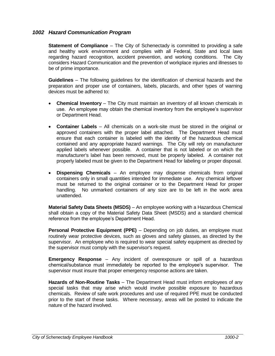#### *1002 Hazard Communication Program*

**Statement of Compliance** – The City of Schenectady is committed to providing a safe and healthy work environment and complies with all Federal, State and local laws regarding hazard recognition, accident prevention, and working conditions. The City considers Hazard Communication and the prevention of workplace injuries and illnesses to be of prime importance.

**Guidelines** – The following guidelines for the identification of chemical hazards and the preparation and proper use of containers, labels, placards, and other types of warning devices must be adhered to:

- **Chemical Inventory** The City must maintain an inventory of all known chemicals in use. An employee may obtain the chemical inventory from the employee's supervisor or Department Head.
- **Container Labels** All chemicals on a work-site must be stored in the original or approved containers with the proper label attached. The Department Head must ensure that each container is labeled with the identity of the hazardous chemical contained and any appropriate hazard warnings. The City will rely on manufacturer applied labels whenever possible. A container that is not labeled or on which the manufacturer's label has been removed, must be properly labeled. A container not properly labeled must be given to the Department Head for labeling or proper disposal.
- **Dispensing Chemicals** An employee may dispense chemicals from original containers only in small quantities intended for immediate use. Any chemical leftover must be returned to the original container or to the Department Head for proper handling. No unmarked containers of any size are to be left in the work area unattended.

**Material Safety Data Sheets (MSDS)** – An employee working with a Hazardous Chemical shall obtain a copy of the Material Safety Data Sheet (MSDS) and a standard chemical reference from the employee's Department Head.

**Personal Protective Equipment (PPE)** – Depending on job duties, an employee must routinely wear protective devices, such as gloves and safety glasses, as directed by the supervisor. An employee who is required to wear special safety equipment as directed by the supervisor must comply with the supervisor's request.

**Emergency Response** – Any incident of overexposure or spill of a hazardous chemical/substance must immediately be reported to the employee's supervisor. The supervisor must insure that proper emergency response actions are taken.

**Hazards of Non-Routine Tasks** – The Department Head must inform employees of any special tasks that may arise which would involve possible exposure to hazardous chemicals. Review of safe work procedures and use of required PPE must be conducted prior to the start of these tasks. Where necessary, areas will be posted to indicate the nature of the hazard involved.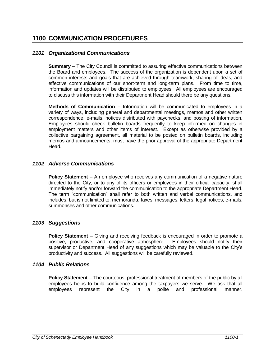# **1100 COMMUNICATION PROCEDURES**

#### *1101 Organizational Communications*

**Summary** – The City Council is committed to assuring effective communications between the Board and employees. The success of the organization is dependent upon a set of common interests and goals that are achieved through teamwork, sharing of ideas, and effective communications of our short-term and long-term plans. From time to time, information and updates will be distributed to employees. All employees are encouraged to discuss this information with their Department Head should there be any questions.

**Methods of Communication** – Information will be communicated to employees in a variety of ways, including general and departmental meetings, memos and other written correspondence, e-mails, notices distributed with paychecks, and posting of information. Employees should check bulletin boards frequently to keep informed on changes in employment matters and other items of interest. Except as otherwise provided by a collective bargaining agreement, all material to be posted on bulletin boards, including memos and announcements, must have the prior approval of the appropriate Department Head.

#### *1102 Adverse Communications*

**Policy Statement** – An employee who receives any communication of a negative nature directed to the City, or to any of its officers or employees in their official capacity, shall immediately notify and/or forward the communication to the appropriate Department Head. The term "communication" shall refer to both written and verbal communications, and includes, but is not limited to, memoranda, faxes, messages, letters, legal notices, e-mails, summonses and other communications.

#### *1103 Suggestions*

**Policy Statement** – Giving and receiving feedback is encouraged in order to promote a positive, productive, and cooperative atmosphere. Employees should notify their supervisor or Department Head of any suggestions which may be valuable to the City's productivity and success. All suggestions will be carefully reviewed.

#### *1104 Public Relations*

**Policy Statement** – The courteous, professional treatment of members of the public by all employees helps to build confidence among the taxpayers we serve. We ask that all employees represent the City in a polite and professional manner.